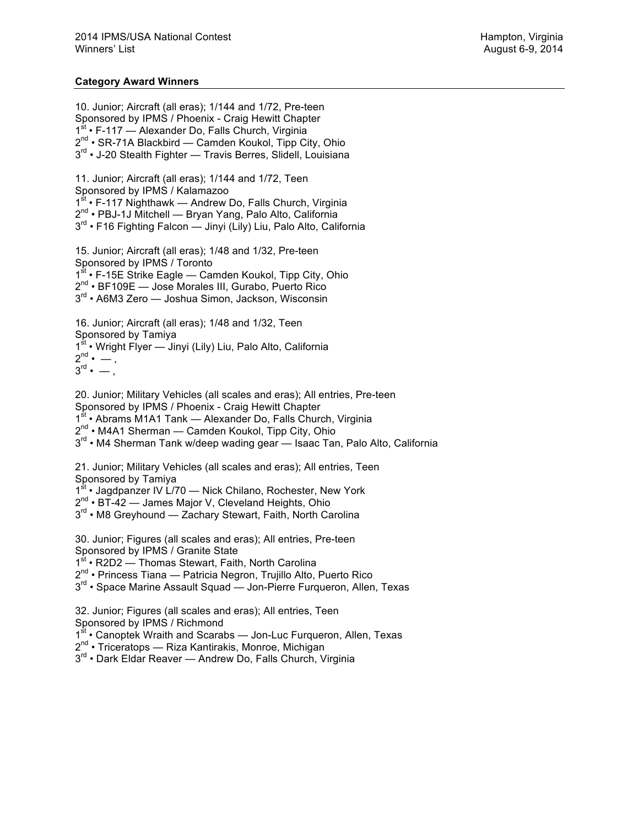## **Category Award Winners**

10. Junior; Aircraft (all eras); 1/144 and 1/72, Pre-teen Sponsored by IPMS / Phoenix - Craig Hewitt Chapter 1<sup>st</sup> • F-117 — Alexander Do, Falls Church, Virginia 2<sup>nd</sup> • SR-71A Blackbird — Camden Koukol, Tipp City, Ohio 3<sup>rd</sup> • J-20 Stealth Fighter — Travis Berres, Slidell, Louisiana 11. Junior; Aircraft (all eras); 1/144 and 1/72, Teen Sponsored by IPMS / Kalamazoo 1<sup>st</sup> • F-117 Nighthawk — Andrew Do, Falls Church, Virginia 2nd • PBJ-1J Mitchell — Bryan Yang, Palo Alto, California 3<sup>rd</sup> • F16 Fighting Falcon — Jinyi (Lily) Liu, Palo Alto, California 15. Junior; Aircraft (all eras); 1/48 and 1/32, Pre-teen Sponsored by IPMS / Toronto 1<sup>st</sup> • F-15E Strike Eagle — Camden Koukol, Tipp City, Ohio 2nd • BF109E — Jose Morales III, Gurabo, Puerto Rico 3<sup>rd</sup> • A6M3 Zero — Joshua Simon, Jackson, Wisconsin 16. Junior; Aircraft (all eras); 1/48 and 1/32, Teen Sponsored by Tamiya 1<sup>st</sup> • Wright Flyer — Jinyi (Lily) Liu, Palo Alto, California  $2^{nd} \cdot -$ ,  $\overline{3}^{\text{rd}} \cdot -$ , 20. Junior; Military Vehicles (all scales and eras); All entries, Pre-teen Sponsored by IPMS / Phoenix - Craig Hewitt Chapter 1<sup>st</sup> • Abrams M1A1 Tank — Alexander Do, Falls Church, Virginia 2<sup>nd</sup> • M4A1 Sherman — Camden Koukol, Tipp City, Ohio 3<sup>rd</sup> • M4 Sherman Tank w/deep wading gear — Isaac Tan, Palo Alto, California 21. Junior; Military Vehicles (all scales and eras); All entries, Teen

Sponsored by Tamiya

1<sup>st</sup> • Jagdpanzer IV L/70 — Nick Chilano, Rochester, New York

 $2^{nd}$  • BT-42 — James Major V, Cleveland Heights, Ohio

3<sup>rd</sup> • M8 Greyhound — Zachary Stewart, Faith, North Carolina

30. Junior; Figures (all scales and eras); All entries, Pre-teen Sponsored by IPMS / Granite State

1st • R2D2 — Thomas Stewart, Faith, North Carolina

2<sup>nd</sup> • Princess Tiana — Patricia Negron, Trujillo Alto, Puerto Rico

3<sup>rd</sup> • Space Marine Assault Squad — Jon-Pierre Furqueron, Allen, Texas

32. Junior; Figures (all scales and eras); All entries, Teen

Sponsored by IPMS / Richmond

1<sup>st</sup> • Canoptek Wraith and Scarabs — Jon-Luc Furqueron, Allen, Texas

2<sup>nd</sup> • Triceratops — Riza Kantirakis, Monroe, Michigan

 $3<sup>rd</sup>$  • Dark Eldar Reaver — Andrew Do, Falls Church, Virginia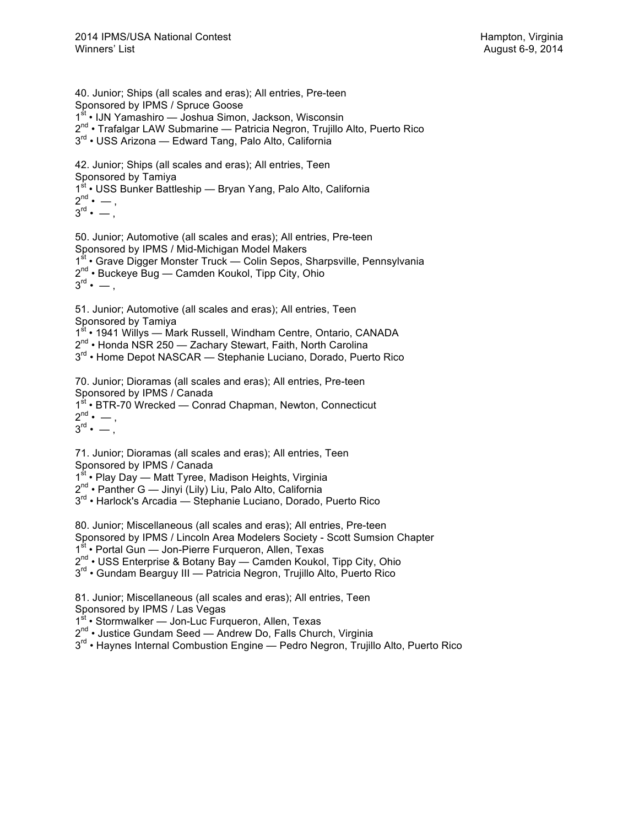40. Junior; Ships (all scales and eras); All entries, Pre-teen Sponsored by IPMS / Spruce Goose 1st • IJN Yamashiro — Joshua Simon, Jackson, Wisconsin 2<sup>nd</sup> • Trafalgar LAW Submarine — Patricia Negron, Trujillo Alto, Puerto Rico 3rd • USS Arizona — Edward Tang, Palo Alto, California

42. Junior; Ships (all scales and eras); All entries, Teen Sponsored by Tamiya 1st • USS Bunker Battleship — Bryan Yang, Palo Alto, California  $2^{nd} \cdot -$ ,  $3^{\text{rd}} \cdot -$ ,

50. Junior; Automotive (all scales and eras); All entries, Pre-teen Sponsored by IPMS / Mid-Michigan Model Makers 1<sup>st</sup> • Grave Digger Monster Truck — Colin Sepos, Sharpsville, Pennsylvania 2<sup>nd</sup> • Buckeye Bug — Camden Koukol, Tipp City, Ohio  $3^{\text{rd}} \cdot -$ ,

51. Junior; Automotive (all scales and eras); All entries, Teen Sponsored by Tamiya 1st • 1941 Willys — Mark Russell, Windham Centre, Ontario, CANADA  $2^{nd}$  • Honda NSR 250 — Zachary Stewart, Faith, North Carolina 3<sup>rd</sup> • Home Depot NASCAR — Stephanie Luciano, Dorado, Puerto Rico

70. Junior; Dioramas (all scales and eras); All entries, Pre-teen Sponsored by IPMS / Canada 1<sup>st</sup> • BTR-70 Wrecked — Conrad Chapman, Newton, Connecticut  $2^{nd} \cdot -$ ,  $3^{\text{rd}} \cdot -$ .

71. Junior; Dioramas (all scales and eras); All entries, Teen Sponsored by IPMS / Canada

1<sup>st</sup> • Play Day — Matt Tyree, Madison Heights, Virginia

2<sup>nd</sup> • Panther G — Jinyi (Lily) Liu, Palo Alto, California

 $3<sup>rd</sup>$  • Harlock's Arcadia — Stephanie Luciano, Dorado, Puerto Rico

80. Junior; Miscellaneous (all scales and eras); All entries, Pre-teen Sponsored by IPMS / Lincoln Area Modelers Society - Scott Sumsion Chapter 1<sup>st</sup> • Portal Gun — Jon-Pierre Furqueron, Allen, Texas 2<sup>nd</sup> • USS Enterprise & Botany Bay — Camden Koukol, Tipp City, Ohio

3<sup>rd</sup> • Gundam Bearguy III — Patricia Negron, Trujillo Alto, Puerto Rico

81. Junior; Miscellaneous (all scales and eras); All entries, Teen Sponsored by IPMS / Las Vegas

1<sup>st</sup> • Stormwalker — Jon-Luc Furqueron, Allen, Texas

2<sup>nd</sup> • Justice Gundam Seed — Andrew Do, Falls Church, Virginia

3<sup>rd</sup> • Havnes Internal Combustion Engine — Pedro Negron, Trujillo Alto, Puerto Rico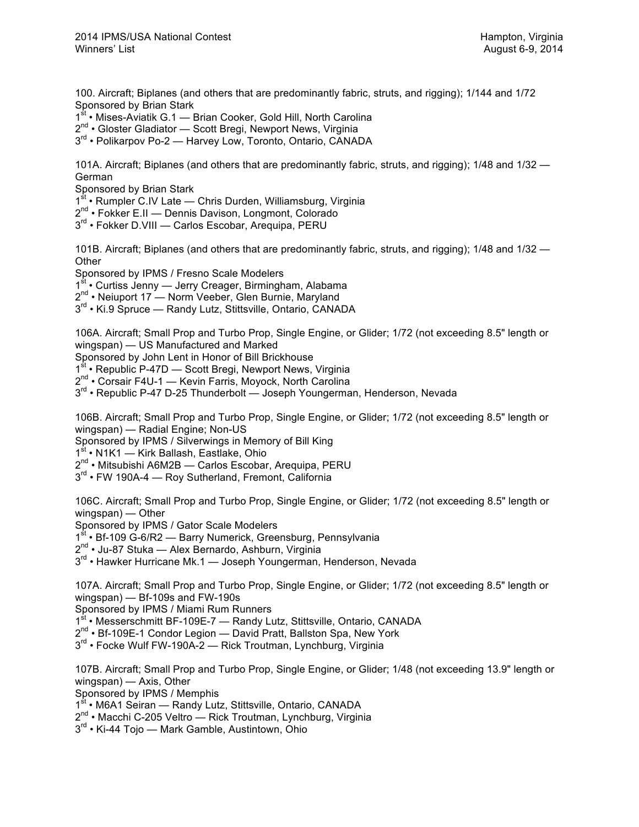100. Aircraft; Biplanes (and others that are predominantly fabric, struts, and rigging); 1/144 and 1/72 Sponsored by Brian Stark

1<sup>st</sup> • Mises-Aviatik G.1 — Brian Cooker, Gold Hill, North Carolina

2<sup>nd</sup> • Gloster Gladiator — Scott Bregi, Newport News, Virginia

 $3^{rd}$  • Polikarpov Po-2 — Harvey Low, Toronto, Ontario, CANADA

101A. Aircraft; Biplanes (and others that are predominantly fabric, struts, and rigging); 1/48 and 1/32 — German

Sponsored by Brian Stark

1<sup>st</sup> • Rumpler C.IV Late — Chris Durden, Williamsburg, Virginia

2<sup>nd</sup> • Fokker E.II — Dennis Davison, Longmont, Colorado

3<sup>rd</sup> • Fokker D.VIII — Carlos Escobar, Arequipa, PERU

101B. Aircraft; Biplanes (and others that are predominantly fabric, struts, and rigging); 1/48 and 1/32 — **Other** 

Sponsored by IPMS / Fresno Scale Modelers

1<sup>st</sup> • Curtiss Jenny — Jerry Creager, Birmingham, Alabama

2<sup>nd</sup> • Neiuport 17 — Norm Veeber, Glen Burnie, Maryland

 $3^{rd}$  • Ki.9 Spruce — Randy Lutz, Stittsville, Ontario, CANADA

106A. Aircraft; Small Prop and Turbo Prop, Single Engine, or Glider; 1/72 (not exceeding 8.5" length or wingspan) — US Manufactured and Marked

Sponsored by John Lent in Honor of Bill Brickhouse<br>1<sup>st</sup> • Republic P-47D — Scott Breai. Newnort News

• Republic P-47D — Scott Bregi, Newport News, Virginia

2<sup>nd</sup> • Corsair F4U-1 — Kevin Farris, Moyock, North Carolina

3<sup>rd</sup> • Republic P-47 D-25 Thunderbolt — Joseph Youngerman, Henderson, Nevada

106B. Aircraft; Small Prop and Turbo Prop, Single Engine, or Glider; 1/72 (not exceeding 8.5" length or wingspan) — Radial Engine; Non-US

Sponsored by IPMS / Silverwings in Memory of Bill King

1<sup>st</sup> • N1K1 — Kirk Ballash, Eastlake, Ohio

2<sup>nd</sup> • Mitsubishi A6M2B — Carlos Escobar, Arequipa, PERU

3<sup>rd</sup> • FW 190A-4 — Roy Sutherland, Fremont, California

106C. Aircraft; Small Prop and Turbo Prop, Single Engine, or Glider; 1/72 (not exceeding 8.5" length or wingspan) — Other

Sponsored by IPMS / Gator Scale Modelers

 $\cdot$  Bf-109 G-6/R2 — Barry Numerick, Greensburg, Pennsylvania

2<sup>nd</sup> • Ju-87 Stuka — Alex Bernardo, Ashburn, Virginia

3<sup>rd</sup> • Hawker Hurricane Mk.1 — Joseph Youngerman, Henderson, Nevada

107A. Aircraft; Small Prop and Turbo Prop, Single Engine, or Glider; 1/72 (not exceeding 8.5" length or wingspan) — Bf-109s and FW-190s

Sponsored by IPMS / Miami Rum Runners

1st • Messerschmitt BF-109E-7 - Randy Lutz, Stittsville, Ontario, CANADA

2<sup>nd</sup> • Bf-109E-1 Condor Legion — David Pratt, Ballston Spa, New York

 $3<sup>rd</sup>$  • Focke Wulf FW-190A-2 — Rick Troutman, Lynchburg, Virginia

107B. Aircraft; Small Prop and Turbo Prop, Single Engine, or Glider; 1/48 (not exceeding 13.9" length or wingspan) — Axis, Other

Sponsored by IPMS / Memphis

1<sup>st</sup> • M6A1 Seiran — Randy Lutz, Stittsville, Ontario, CANADA

2<sup>nd</sup> • Macchi C-205 Veltro — Rick Troutman, Lynchburg, Virginia

3<sup>rd</sup> • Ki-44 Tojo — Mark Gamble, Austintown, Ohio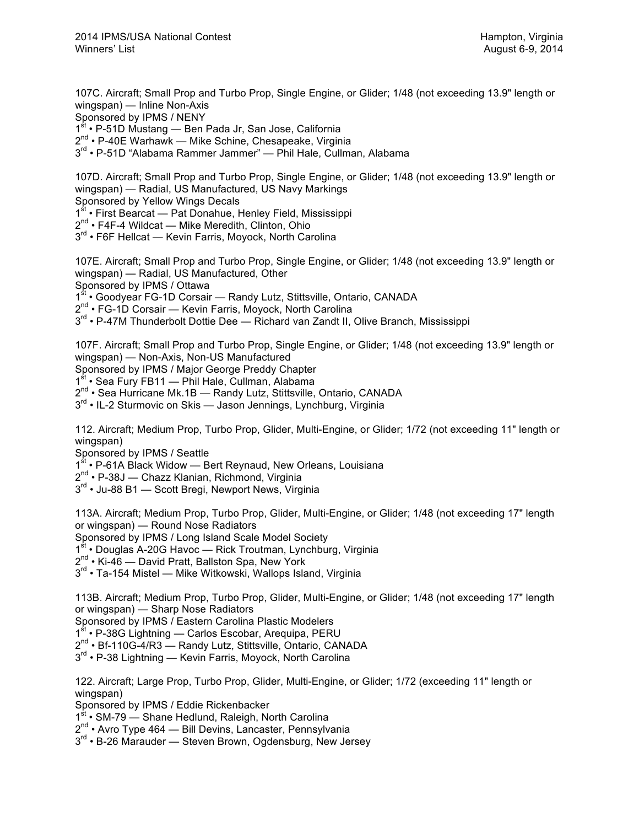107C. Aircraft; Small Prop and Turbo Prop, Single Engine, or Glider; 1/48 (not exceeding 13.9" length or wingspan) — Inline Non-Axis Sponsored by IPMS / NENY 1<sup>st</sup> • P-51D Mustang — Ben Pada Jr, San Jose, California

 $2^{nd}$  • P-40E Warhawk — Mike Schine, Chesapeake, Virginia

3<sup>rd</sup> • P-51D "Alabama Rammer Jammer" — Phil Hale, Cullman, Alabama

107D. Aircraft; Small Prop and Turbo Prop, Single Engine, or Glider; 1/48 (not exceeding 13.9" length or wingspan) — Radial, US Manufactured, US Navy Markings

Sponsored by Yellow Wings Decals

1<sup>st</sup> • First Bearcat — Pat Donahue, Henley Field, Mississippi

2nd • F4F-4 Wildcat — Mike Meredith, Clinton, Ohio

3<sup>rd</sup> • F6F Hellcat — Kevin Farris, Moyock, North Carolina

107E. Aircraft; Small Prop and Turbo Prop, Single Engine, or Glider; 1/48 (not exceeding 13.9" length or wingspan) — Radial, US Manufactured, Other Sponsored by IPMS / Ottawa

1<sup>st</sup> • Goodyear FG-1D Corsair — Randy Lutz, Stittsville, Ontario, CANADA

2<sup>nd</sup> • FG-1D Corsair — Kevin Farris, Moyock, North Carolina

 $3<sup>rd</sup>$  • P-47M Thunderbolt Dottie Dee — Richard van Zandt II, Olive Branch, Mississippi

107F. Aircraft; Small Prop and Turbo Prop, Single Engine, or Glider; 1/48 (not exceeding 13.9" length or wingspan) — Non-Axis, Non-US Manufactured

Sponsored by IPMS / Major George Preddy Chapter

1<sup>st</sup> • Sea Fury FB11 — Phil Hale, Cullman, Alabama

2<sup>nd</sup> • Sea Hurricane Mk.1B — Randy Lutz, Stittsville, Ontario, CANADA

 $3<sup>rd</sup>$  • IL-2 Sturmovic on Skis — Jason Jennings, Lynchburg, Virginia

112. Aircraft; Medium Prop, Turbo Prop, Glider, Multi-Engine, or Glider; 1/72 (not exceeding 11" length or wingspan)

Sponsored by IPMS / Seattle

1<sup>st</sup> • P-61A Black Widow — Bert Reynaud, New Orleans, Louisiana

2<sup>nd</sup> • P-38J — Chazz Klanian, Richmond, Virginia

 $3<sup>rd</sup>$  • Ju-88 B1 — Scott Bregi, Newport News, Virginia

113A. Aircraft; Medium Prop, Turbo Prop, Glider, Multi-Engine, or Glider; 1/48 (not exceeding 17" length or wingspan) — Round Nose Radiators

Sponsored by IPMS / Long Island Scale Model Society

1<sup>st</sup> • Douglas A-20G Havoc — Rick Troutman, Lynchburg, Virginia

2<sup>nd</sup> • Ki-46 — David Pratt, Ballston Spa, New York

3<sup>rd</sup> • Ta-154 Mistel — Mike Witkowski, Wallops Island, Virginia

113B. Aircraft; Medium Prop, Turbo Prop, Glider, Multi-Engine, or Glider; 1/48 (not exceeding 17" length or wingspan) — Sharp Nose Radiators

Sponsored by IPMS / Eastern Carolina Plastic Modelers

1st • P-38G Lightning — Carlos Escobar, Arequipa, PERU

2nd • Bf-110G-4/R3 — Randy Lutz, Stittsville, Ontario, CANADA

3<sup>rd</sup> • P-38 Lightning — Kevin Farris, Moyock, North Carolina

122. Aircraft; Large Prop, Turbo Prop, Glider, Multi-Engine, or Glider; 1/72 (exceeding 11" length or wingspan)

Sponsored by IPMS / Eddie Rickenbacker

1<sup>st</sup> • SM-79 — Shane Hedlund, Raleigh, North Carolina

2<sup>nd</sup> • Avro Type 464 — Bill Devins, Lancaster, Pennsylvania

3<sup>rd</sup> • B-26 Marauder — Steven Brown, Ogdensburg, New Jersey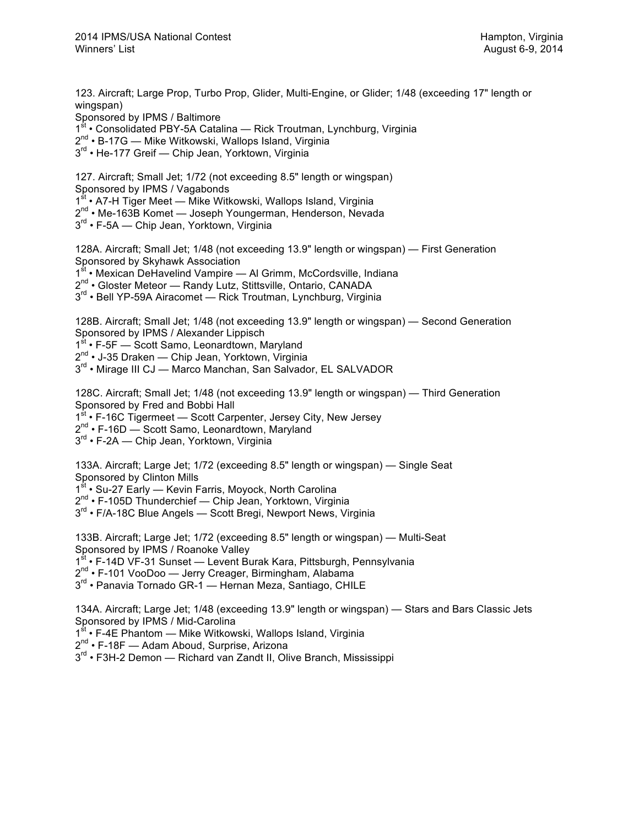123. Aircraft; Large Prop, Turbo Prop, Glider, Multi-Engine, or Glider; 1/48 (exceeding 17" length or wingspan) Sponsored by IPMS / Baltimore 1st • Consolidated PBY-5A Catalina — Rick Troutman, Lynchburg, Virginia 2<sup>nd</sup> • B-17G — Mike Witkowski, Wallops Island, Virginia 3<sup>rd</sup> • He-177 Greif — Chip Jean, Yorktown, Virginia 127. Aircraft; Small Jet; 1/72 (not exceeding 8.5" length or wingspan) Sponsored by IPMS / Vagabonds 1<sup>st</sup> • A7-H Tiger Meet — Mike Witkowski, Wallops Island, Virginia 2<sup>nd</sup> • Me-163B Komet — Joseph Youngerman, Henderson, Nevada 3<sup>rd</sup> • F-5A — Chip Jean, Yorktown, Virginia 128A. Aircraft; Small Jet; 1/48 (not exceeding 13.9" length or wingspan) — First Generation Sponsored by Skyhawk Association 1<sup>st</sup> • Mexican DeHavelind Vampire — Al Grimm, McCordsville, Indiana 2<sup>nd</sup> • Gloster Meteor — Randy Lutz, Stittsville, Ontario, CANADA 3<sup>rd</sup> • Bell YP-59A Airacomet — Rick Troutman, Lynchburg, Virginia 128B. Aircraft; Small Jet; 1/48 (not exceeding 13.9" length or wingspan) — Second Generation Sponsored by IPMS / Alexander Lippisch 1<sup>st</sup> • F-5F — Scott Samo, Leonardtown, Maryland 2<sup>nd</sup> • J-35 Draken — Chip Jean, Yorktown, Virginia  $3<sup>rd</sup>$  • Mirage III CJ — Marco Manchan, San Salvador, EL SALVADOR 128C. Aircraft; Small Jet; 1/48 (not exceeding 13.9" length or wingspan) — Third Generation Sponsored by Fred and Bobbi Hall 1<sup>st</sup> • F-16C Tigermeet — Scott Carpenter, Jersey City, New Jersey 2<sup>nd</sup> • F-16D — Scott Samo, Leonardtown, Maryland 3<sup>rd</sup> • F-2A — Chip Jean, Yorktown, Virginia 133A. Aircraft; Large Jet; 1/72 (exceeding 8.5" length or wingspan) — Single Seat Sponsored by Clinton Mills 1<sup>st</sup> • Su-27 Early — Kevin Farris, Moyock, North Carolina 2<sup>nd</sup> • F-105D Thunderchief — Chip Jean, Yorktown, Virginia 3<sup>rd</sup> • F/A-18C Blue Angels — Scott Bregi, Newport News, Virginia 133B. Aircraft; Large Jet; 1/72 (exceeding 8.5" length or wingspan) — Multi-Seat Sponsored by IPMS / Roanoke Valley 1<sup>st</sup> • F-14D VF-31 Sunset — Levent Burak Kara, Pittsburgh, Pennsylvania 2<sup>nd</sup> • F-101 VooDoo — Jerry Creager, Birmingham, Alabama 3<sup>rd</sup> • Panavia Tornado GR-1 — Hernan Meza, Santiago, CHILE 134A. Aircraft; Large Jet; 1/48 (exceeding 13.9" length or wingspan) — Stars and Bars Classic Jets Sponsored by IPMS / Mid-Carolina 1<sup>st</sup> • F-4E Phantom — Mike Witkowski, Wallops Island, Virginia 2<sup>nd</sup> • F-18F — Adam Aboud, Surprise, Arizona 3<sup>rd</sup> • F3H-2 Demon — Richard van Zandt II, Olive Branch, Mississippi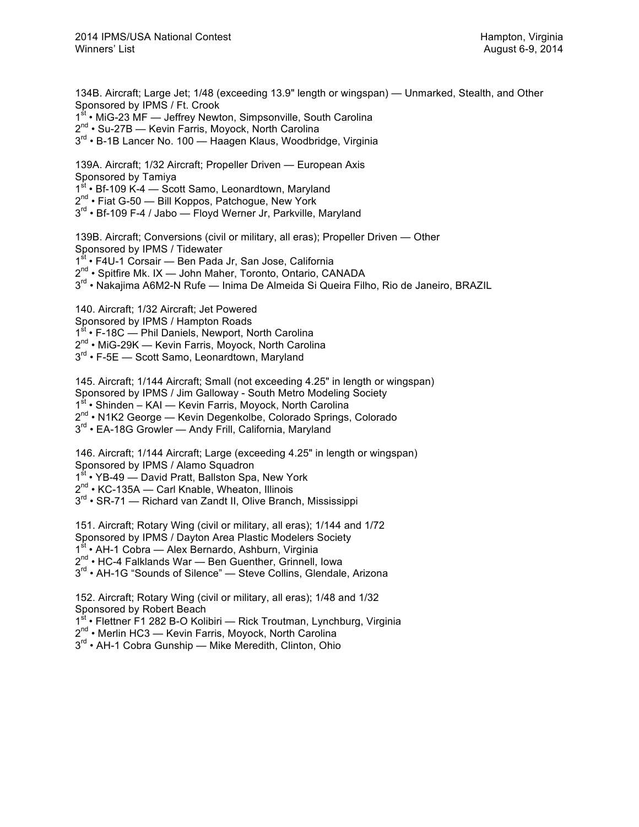134B. Aircraft; Large Jet; 1/48 (exceeding 13.9" length or wingspan) — Unmarked, Stealth, and Other Sponsored by IPMS / Ft. Crook 1<sup>st</sup> • MiG-23 MF — Jeffrey Newton, Simpsonville, South Carolina 2<sup>nd</sup> • Su-27B — Kevin Farris, Moyock, North Carolina 3<sup>rd</sup> • B-1B Lancer No. 100 — Haagen Klaus, Woodbridge, Virginia 139A. Aircraft; 1/32 Aircraft; Propeller Driven — European Axis Sponsored by Tamiya 1st • Bf-109 K-4 — Scott Samo, Leonardtown, Maryland  $2^{nd}$  • Fiat G-50 — Bill Koppos, Patchoque, New York 3<sup>rd</sup> • Bf-109 F-4 / Jabo — Floyd Werner Jr, Parkville, Maryland 139B. Aircraft; Conversions (civil or military, all eras); Propeller Driven — Other Sponsored by IPMS / Tidewater 1st • F4U-1 Corsair — Ben Pada Jr, San Jose, California 2<sup>nd</sup> • Spitfire Mk. IX — John Maher, Toronto, Ontario, CANADA 3<sup>rd</sup> • Nakajima A6M2-N Rufe — Inima De Almeida Si Queira Filho, Rio de Janeiro, BRAZIL 140. Aircraft; 1/32 Aircraft; Jet Powered Sponsored by IPMS / Hampton Roads 1<sup>st</sup> • F-18C — Phil Daniels, Newport, North Carolina 2<sup>nd</sup> • MiG-29K — Kevin Farris, Moyock, North Carolina 3<sup>rd</sup> • F-5E — Scott Samo, Leonardtown, Maryland 145. Aircraft; 1/144 Aircraft; Small (not exceeding 4.25" in length or wingspan) Sponsored by IPMS / Jim Galloway - South Metro Modeling Society 1<sup>st</sup> • Shinden – KAI — Kevin Farris, Moyock, North Carolina 2<sup>nd</sup> • N1K2 George — Kevin Degenkolbe, Colorado Springs, Colorado 3<sup>rd</sup> • EA-18G Growler — Andy Frill, California, Maryland 146. Aircraft; 1/144 Aircraft; Large (exceeding 4.25" in length or wingspan) Sponsored by IPMS / Alamo Squadron 1<sup>st</sup> • YB-49 — David Pratt, Ballston Spa, New York 2<sup>nd</sup> • KC-135A — Carl Knable, Wheaton, Illinois 3<sup>rd</sup> • SR-71 — Richard van Zandt II, Olive Branch, Mississippi 151. Aircraft; Rotary Wing (civil or military, all eras); 1/144 and 1/72 Sponsored by IPMS / Dayton Area Plastic Modelers Society 1<sup>st</sup> • AH-1 Cobra — Alex Bernardo, Ashburn, Virginia 2<sup>nd</sup> • HC-4 Falklands War - Ben Guenther, Grinnell, Iowa 3<sup>rd</sup> • AH-1G "Sounds of Silence" — Steve Collins, Glendale, Arizona 152. Aircraft; Rotary Wing (civil or military, all eras); 1/48 and 1/32 Sponsored by Robert Beach 1st • Flettner F1 282 B-O Kolibiri — Rick Troutman, Lynchburg, Virginia 2<sup>nd</sup> • Merlin HC3 — Kevin Farris, Moyock, North Carolina 3<sup>rd</sup> • AH-1 Cobra Gunship — Mike Meredith, Clinton, Ohio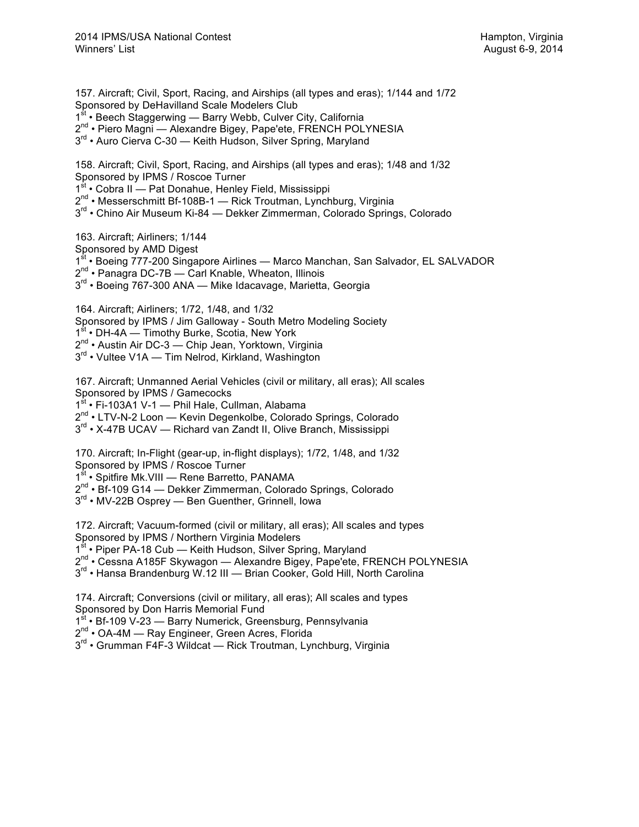157. Aircraft; Civil, Sport, Racing, and Airships (all types and eras); 1/144 and 1/72 Sponsored by DeHavilland Scale Modelers Club 1<sup>st</sup> • Beech Staggerwing — Barry Webb, Culver City, California 2<sup>nd</sup> • Piero Magni — Alexandre Bigey, Pape'ete, FRENCH POLYNESIA 3<sup>rd</sup> • Auro Cierva C-30 — Keith Hudson, Silver Spring, Maryland

158. Aircraft; Civil, Sport, Racing, and Airships (all types and eras); 1/48 and 1/32 Sponsored by IPMS / Roscoe Turner 1st • Cobra II — Pat Donahue, Henley Field, Mississippi  $2^{nd}$  • Messerschmitt Bf-108B-1 — Rick Troutman, Lynchburg, Virginia 3<sup>rd</sup> • Chino Air Museum Ki-84 — Dekker Zimmerman, Colorado Springs, Colorado

163. Aircraft; Airliners; 1/144 Sponsored by AMD Digest 1<sup>st</sup> • Boeing 777-200 Singapore Airlines — Marco Manchan, San Salvador, EL SALVADOR 2<sup>nd</sup> • Panagra DC-7B — Carl Knable, Wheaton, Illinois 3<sup>rd</sup> • Boeing 767-300 ANA — Mike Idacavage, Marietta, Georgia

164. Aircraft; Airliners; 1/72, 1/48, and 1/32 Sponsored by IPMS / Jim Galloway - South Metro Modeling Society 1<sup>st</sup> • DH-4A — Timothy Burke, Scotia, New York 2<sup>nd</sup> • Austin Air DC-3 — Chip Jean, Yorktown, Virginia 3<sup>rd</sup> • Vultee V1A — Tim Nelrod, Kirkland, Washington

167. Aircraft; Unmanned Aerial Vehicles (civil or military, all eras); All scales Sponsored by IPMS / Gamecocks 1st • Fi-103A1 V-1 - Phil Hale, Cullman, Alabama 2<sup>nd</sup> • LTV-N-2 Loon — Kevin Degenkolbe, Colorado Springs, Colorado 3<sup>rd</sup> • X-47B UCAV — Richard van Zandt II, Olive Branch, Mississippi

170. Aircraft; In-Flight (gear-up, in-flight displays); 1/72, 1/48, and 1/32 Sponsored by IPMS / Roscoe Turner

1st • Spitfire Mk. VIII — Rene Barretto, PANAMA

 $2^{nd}$  • Bf-109 G14 — Dekker Zimmerman, Colorado Springs, Colorado

3<sup>rd</sup> • MV-22B Osprey — Ben Guenther, Grinnell, Iowa

172. Aircraft; Vacuum-formed (civil or military, all eras); All scales and types Sponsored by IPMS / Northern Virginia Modelers

1<sup>st</sup> • Piper PA-18 Cub — Keith Hudson, Silver Spring, Maryland

2<sup>nd</sup> • Cessna A185F Skywagon — Alexandre Bigey, Pape'ete, FRENCH POLYNESIA

3<sup>rd</sup> • Hansa Brandenburg W.12 III — Brian Cooker, Gold Hill, North Carolina

174. Aircraft; Conversions (civil or military, all eras); All scales and types Sponsored by Don Harris Memorial Fund

1<sup>st</sup> • Bf-109 V-23 — Barry Numerick, Greensburg, Pennsylvania

2<sup>nd</sup> • OA-4M — Ray Engineer, Green Acres, Florida

 $3<sup>rd</sup>$  • Grumman F4F-3 Wildcat — Rick Troutman, Lynchburg, Virginia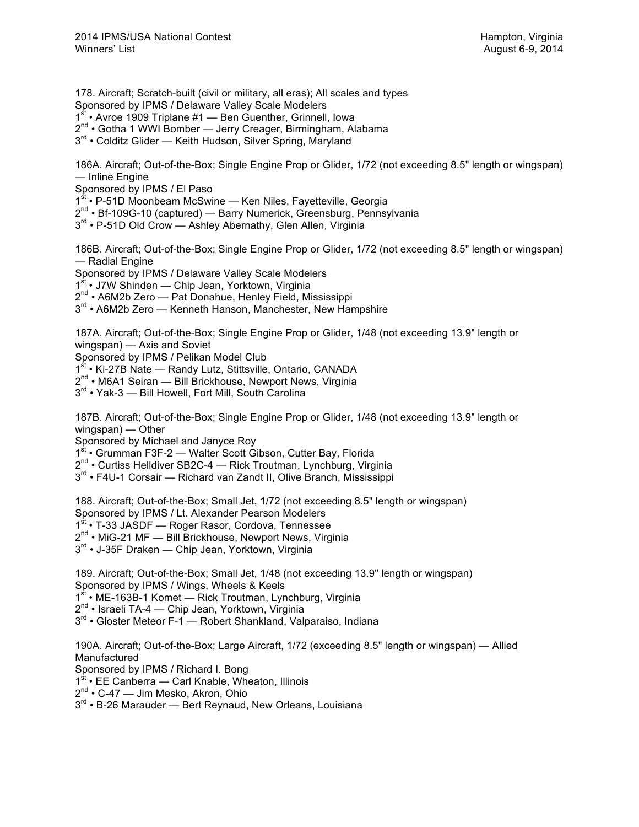178. Aircraft; Scratch-built (civil or military, all eras); All scales and types Sponsored by IPMS / Delaware Valley Scale Modelers

- 1<sup>st</sup> Avroe 1909 Triplane #1 Ben Guenther, Grinnell, Iowa
- 2<sup>nd</sup> Gotha 1 WWI Bomber Jerry Creager, Birmingham, Alabama
- 3<sup>rd</sup> Colditz Glider Keith Hudson, Silver Spring, Maryland

186A. Aircraft; Out-of-the-Box; Single Engine Prop or Glider, 1/72 (not exceeding 8.5" length or wingspan) — Inline Engine

Sponsored by IPMS / El Paso

1st • P-51D Moonbeam McSwine — Ken Niles, Fayetteville, Georgia

- 2<sup>nd</sup> Bf-109G-10 (captured) Barry Numerick, Greensburg, Pennsylvania
- 3<sup>rd</sup> P-51D Old Crow Ashley Abernathy, Glen Allen, Virginia

186B. Aircraft; Out-of-the-Box; Single Engine Prop or Glider, 1/72 (not exceeding 8.5" length or wingspan) — Radial Engine

Sponsored by IPMS / Delaware Valley Scale Modelers

1<sup>st</sup> • J7W Shinden — Chip Jean, Yorktown, Virginia

2nd • A6M2b Zero — Pat Donahue, Henley Field, Mississippi

 $3<sup>rd</sup>$  • A6M2b Zero — Kenneth Hanson, Manchester, New Hampshire

187A. Aircraft; Out-of-the-Box; Single Engine Prop or Glider, 1/48 (not exceeding 13.9" length or wingspan) — Axis and Soviet

Sponsored by IPMS / Pelikan Model Club<br>1<sup>st</sup> • Ki-27B Nate — Randv Lutz Stittsville • Ki-27B Nate — Randy Lutz, Stittsville, Ontario, CANADA

2<sup>nd</sup> • M6A1 Seiran — Bill Brickhouse, Newport News, Virginia

3<sup>rd</sup> • Yak-3 — Bill Howell, Fort Mill, South Carolina

187B. Aircraft; Out-of-the-Box; Single Engine Prop or Glider, 1/48 (not exceeding 13.9" length or wingspan) — Other

Sponsored by Michael and Janyce Roy

1<sup>st</sup> • Grumman F3F-2 — Walter Scott Gibson, Cutter Bay, Florida

2<sup>nd</sup> • Curtiss Helldiver SB2C-4 — Rick Troutman, Lynchburg, Virginia

3<sup>rd</sup> • F4U-1 Corsair — Richard van Zandt II, Olive Branch, Mississippi

188. Aircraft; Out-of-the-Box; Small Jet, 1/72 (not exceeding 8.5" length or wingspan)

Sponsored by IPMS / Lt. Alexander Pearson Modelers

1<sup>st</sup> • T-33 JASDF — Roger Rasor, Cordova, Tennessee

2<sup>nd</sup> • MiG-21 MF — Bill Brickhouse, Newport News, Virginia

3<sup>rd</sup> • J-35F Draken — Chip Jean, Yorktown, Virginia

189. Aircraft; Out-of-the-Box; Small Jet, 1/48 (not exceeding 13.9" length or wingspan) Sponsored by IPMS / Wings, Wheels & Keels

1<sup>st</sup> • ME-163B-1 Komet — Rick Troutman, Lynchburg, Virginia

2<sup>nd</sup> • Israeli TA-4 — Chip Jean, Yorktown, Virginia

3<sup>rd</sup> • Gloster Meteor F-1 — Robert Shankland, Valparaiso, Indiana

190A. Aircraft; Out-of-the-Box; Large Aircraft, 1/72 (exceeding 8.5" length or wingspan) — Allied Manufactured

Sponsored by IPMS / Richard I. Bong

 $^{\mathsf{t}}$  • EE Canberra — Carl Knable, Wheaton, Illinois

2<sup>nd</sup> • C-47 — Jim Mesko, Akron, Ohio

 $3<sup>rd</sup>$  • B-26 Marauder — Bert Reynaud, New Orleans, Louisiana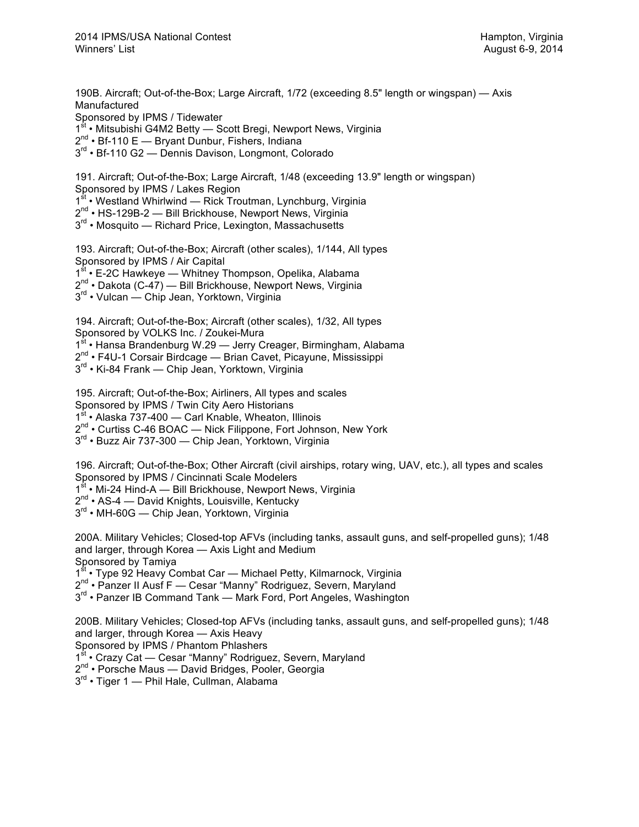190B. Aircraft; Out-of-the-Box; Large Aircraft, 1/72 (exceeding 8.5" length or wingspan) — Axis Manufactured

Sponsored by IPMS / Tidewater

- 1<sup>st</sup> Mitsubishi G4M2 Betty Scott Bregi, Newport News, Virginia
- 2<sup>nd</sup> Bf-110 E Bryant Dunbur, Fishers, Indiana
- 3<sup>rd</sup> Bf-110 G2 Dennis Davison, Longmont, Colorado

191. Aircraft; Out-of-the-Box; Large Aircraft, 1/48 (exceeding 13.9" length or wingspan) Sponsored by IPMS / Lakes Region

1<sup>st</sup> • Westland Whirlwind — Rick Troutman, Lynchburg, Virginia

2<sup>nd</sup> • HS-129B-2 — Bill Brickhouse, Newport News, Virginia

3<sup>rd</sup> • Mosquito — Richard Price, Lexington, Massachusetts

193. Aircraft; Out-of-the-Box; Aircraft (other scales), 1/144, All types Sponsored by IPMS / Air Capital 1<sup>st</sup> • E-2C Hawkeye — Whitney Thompson, Opelika, Alabama

2<sup>nd</sup> • Dakota (C-47) — Bill Brickhouse, Newport News, Virginia

3<sup>rd</sup> • Vulcan — Chip Jean, Yorktown, Virginia

194. Aircraft; Out-of-the-Box; Aircraft (other scales), 1/32, All types Sponsored by VOLKS Inc. / Zoukei-Mura 1<sup>st</sup> • Hansa Brandenburg W.29 — Jerry Creager, Birmingham, Alabama 2nd • F4U-1 Corsair Birdcage — Brian Cavet, Picayune, Mississippi 3<sup>rd</sup> • Ki-84 Frank — Chip Jean, Yorktown, Virginia

195. Aircraft; Out-of-the-Box; Airliners, All types and scales Sponsored by IPMS / Twin City Aero Historians 1<sup>st</sup> • Alaska 737-400 — Carl Knable, Wheaton, Illinois 2<sup>nd</sup> • Curtiss C-46 BOAC — Nick Filippone, Fort Johnson, New York 3<sup>rd</sup> • Buzz Air 737-300 — Chip Jean, Yorktown, Virginia

196. Aircraft; Out-of-the-Box; Other Aircraft (civil airships, rotary wing, UAV, etc.), all types and scales Sponsored by IPMS / Cincinnati Scale Modelers 1<sup>st</sup> • Mi-24 Hind-A — Bill Brickhouse, Newport News, Virginia

2<sup>nd</sup> • AS-4 — David Knights, Louisville, Kentucky

3<sup>rd</sup> • MH-60G — Chip Jean, Yorktown, Virginia

200A. Military Vehicles; Closed-top AFVs (including tanks, assault guns, and self-propelled guns); 1/48 and larger, through Korea — Axis Light and Medium Sponsored by Tamiya

1<sup>st</sup> • Type 92 Heavy Combat Car — Michael Petty, Kilmarnock, Virginia

2<sup>nd</sup> • Panzer II Ausf F — Cesar "Manny" Rodriguez, Severn, Maryland

 $3<sup>rd</sup>$  • Panzer IB Command Tank — Mark Ford, Port Angeles, Washington

200B. Military Vehicles; Closed-top AFVs (including tanks, assault guns, and self-propelled guns); 1/48 and larger, through Korea — Axis Heavy

Sponsored by IPMS / Phantom Phlashers

1<sup>st</sup> • Crazy Cat — Cesar "Manny" Rodriguez, Severn, Maryland

2<sup>nd</sup> • Porsche Maus — David Bridges, Pooler, Georgia

 $3<sup>rd</sup>$  • Tiger 1 — Phil Hale, Cullman, Alabama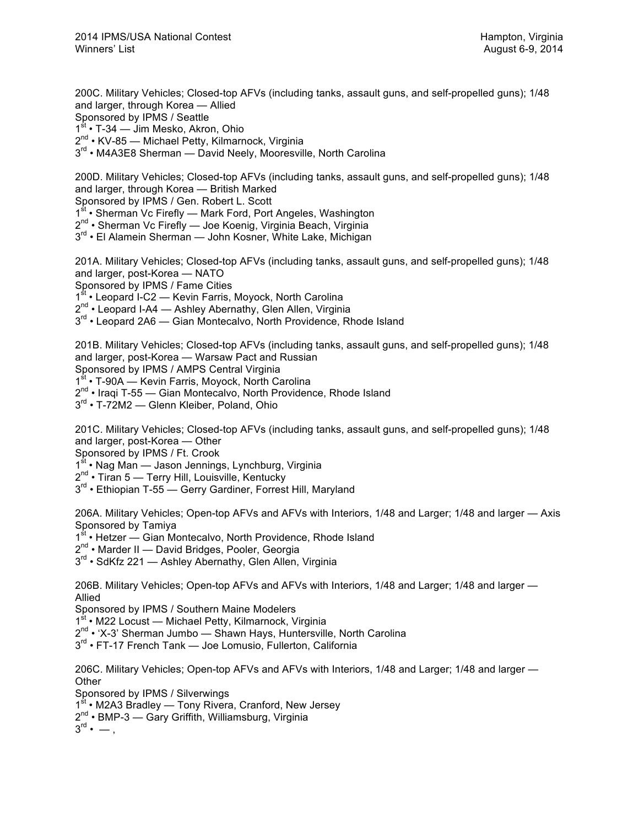200C. Military Vehicles; Closed-top AFVs (including tanks, assault guns, and self-propelled guns); 1/48 and larger, through Korea — Allied Sponsored by IPMS / Seattle

1<sup>st</sup> • T-34 — Jim Mesko, Akron, Ohio

 $2^{nd}$  • KV-85 — Michael Petty, Kilmarnock, Virginia

3<sup>rd</sup> • M4A3E8 Sherman — David Neely, Mooresville, North Carolina

200D. Military Vehicles; Closed-top AFVs (including tanks, assault guns, and self-propelled guns); 1/48 and larger, through Korea — British Marked

Sponsored by IPMS / Gen. Robert L. Scott

1<sup>st</sup> • Sherman Vc Firefly — Mark Ford, Port Angeles, Washington

2nd • Sherman Vc Firefly — Joe Koenig, Virginia Beach, Virginia

3<sup>rd</sup> • El Alamein Sherman — John Kosner, White Lake, Michigan

201A. Military Vehicles; Closed-top AFVs (including tanks, assault guns, and self-propelled guns); 1/48 and larger, post-Korea — NATO

Sponsored by IPMS / Fame Cities

1st • Leopard I-C2 — Kevin Farris, Moyock, North Carolina

2<sup>nd</sup> • Leopard I-A4 — Ashley Abernathy, Glen Allen, Virginia

3<sup>rd</sup> • Leopard 2A6 — Gian Montecalvo, North Providence, Rhode Island

201B. Military Vehicles; Closed-top AFVs (including tanks, assault guns, and self-propelled guns); 1/48 and larger, post-Korea — Warsaw Pact and Russian

Sponsored by IPMS / AMPS Central Virginia

1st • T-90A — Kevin Farris, Moyock, North Carolina

 $2^{nd}$  • Iraqi T-55 — Gian Montecalvo, North Providence, Rhode Island

3<sup>rd</sup> • T-72M2 — Glenn Kleiber, Poland, Ohio

201C. Military Vehicles; Closed-top AFVs (including tanks, assault guns, and self-propelled guns); 1/48 and larger, post-Korea — Other

Sponsored by IPMS / Ft. Crook

1<sup>st</sup> • Nag Man — Jason Jennings, Lynchburg, Virginia

2<sup>nd</sup> • Tiran 5 — Terry Hill, Louisville, Kentucky

3<sup>rd</sup> • Ethiopian T-55 — Gerry Gardiner, Forrest Hill, Maryland

206A. Military Vehicles; Open-top AFVs and AFVs with Interiors, 1/48 and Larger; 1/48 and larger — Axis Sponsored by Tamiya

1<sup>st</sup> • Hetzer — Gian Montecalvo, North Providence, Rhode Island

2<sup>nd</sup> • Marder II — David Bridges, Pooler, Georgia

3<sup>rd</sup> • SdKfz 221 — Ashley Abernathy, Glen Allen, Virginia

206B. Military Vehicles; Open-top AFVs and AFVs with Interiors, 1/48 and Larger; 1/48 and larger — Allied

Sponsored by IPMS / Southern Maine Modelers

1<sup>st</sup> • M22 Locust — Michael Petty, Kilmarnock, Virginia

2<sup>nd</sup> • 'X-3' Sherman Jumbo — Shawn Hays, Huntersville, North Carolina

 $3<sup>rd</sup>$  • FT-17 French Tank — Joe Lomusio. Fullerton, California

206C. Military Vehicles; Open-top AFVs and AFVs with Interiors, 1/48 and Larger; 1/48 and larger — **Other** 

Sponsored by IPMS / Silverwings

1<sup>st</sup> • M2A3 Bradley — Tony Rivera, Cranford, New Jersey

2<sup>nd</sup> • BMP-3 — Gary Griffith, Williamsburg, Virginia

 $\overline{3}^{\mathsf{rd}}$  • — ,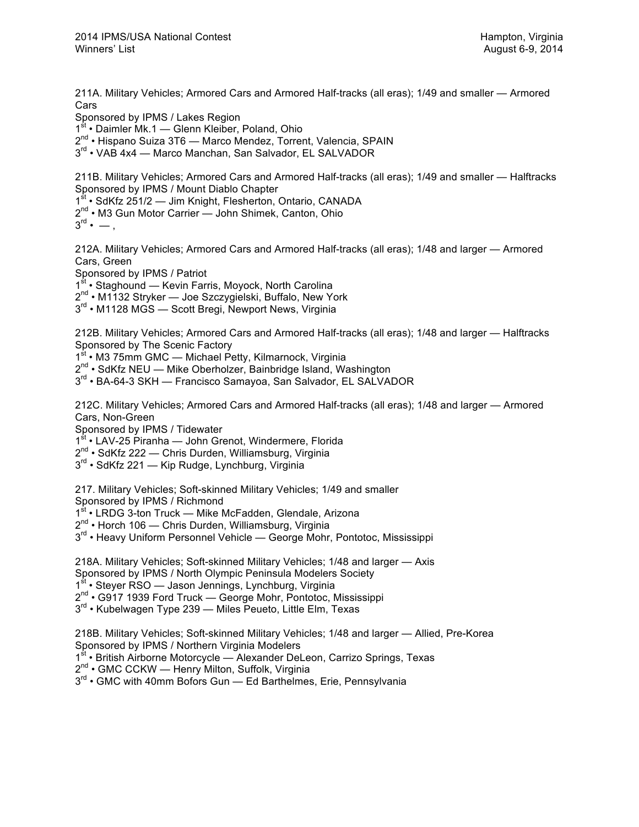211A. Military Vehicles; Armored Cars and Armored Half-tracks (all eras); 1/49 and smaller — Armored Cars

Sponsored by IPMS / Lakes Region

1<sup>st</sup> • Daimler Mk.1 — Glenn Kleiber, Poland, Ohio

2<sup>nd</sup> • Hispano Suiza 3T6 — Marco Mendez, Torrent, Valencia, SPAIN

3<sup>rd</sup> • VAB 4x4 — Marco Manchan, San Salvador, EL SALVADOR

211B. Military Vehicles; Armored Cars and Armored Half-tracks (all eras); 1/49 and smaller — Halftracks Sponsored by IPMS / Mount Diablo Chapter

1<sup>st</sup> • SdKfz 251/2 — Jim Knight, Flesherton, Ontario, CANADA

2<sup>nd</sup> • M3 Gun Motor Carrier — John Shimek, Canton, Ohio

 $3^{\text{rd}} \cdot -$ .

212A. Military Vehicles; Armored Cars and Armored Half-tracks (all eras); 1/48 and larger — Armored Cars, Green

Sponsored by IPMS / Patriot

<sup>t</sup> • Staghound — Kevin Farris, Moyock, North Carolina

2<sup>nd</sup> • M1132 Stryker — Joe Szczygielski, Buffalo, New York

3<sup>rd</sup> • M1128 MGS — Scott Bregi, Newport News, Virginia

212B. Military Vehicles; Armored Cars and Armored Half-tracks (all eras); 1/48 and larger — Halftracks Sponsored by The Scenic Factory

1<sup>st</sup> • M3 75mm GMC — Michael Petty, Kilmarnock, Virginia

2<sup>nd</sup> • SdKfz NEU - Mike Oberholzer, Bainbridge Island, Washington

3<sup>rd</sup> • BA-64-3 SKH — Francisco Samayoa, San Salvador, EL SALVADOR

212C. Military Vehicles; Armored Cars and Armored Half-tracks (all eras); 1/48 and larger — Armored Cars, Non-Green

Sponsored by IPMS / Tidewater

1st • LAV-25 Piranha — John Grenot, Windermere, Florida

 $2^{nd}$  • SdKfz 222 — Chris Durden, Williamsburg, Virginia

3<sup>rd</sup> • SdKfz 221 — Kip Rudge, Lynchburg, Virginia

217. Military Vehicles; Soft-skinned Military Vehicles; 1/49 and smaller

Sponsored by IPMS / Richmond<br>1<sup>st</sup> • LRDG 3-ton Truck — Mike M

 $\cdot$  LRDG 3-ton Truck — Mike McFadden, Glendale, Arizona

 $2^{nd}$  • Horch 106 — Chris Durden, Williamsburg, Virginia

 $3<sup>rd</sup>$  • Heavy Uniform Personnel Vehicle — George Mohr, Pontotoc, Mississippi

218A. Military Vehicles; Soft-skinned Military Vehicles; 1/48 and larger — Axis Sponsored by IPMS / North Olympic Peninsula Modelers Society 1st • Steyer RSO — Jason Jennings, Lynchburg, Virginia 2<sup>nd</sup> • G917 1939 Ford Truck — George Mohr, Pontotoc, Mississippi 3<sup>rd</sup> • Kubelwagen Type 239 — Miles Peueto, Little Elm, Texas

218B. Military Vehicles; Soft-skinned Military Vehicles; 1/48 and larger — Allied, Pre-Korea Sponsored by IPMS / Northern Virginia Modelers

1<sup>st</sup> • British Airborne Motorcycle — Alexander DeLeon, Carrizo Springs, Texas

2<sup>nd</sup> • GMC CCKW — Henry Milton, Suffolk, Virginia

 $3<sup>rd</sup>$  • GMC with 40mm Bofors Gun — Ed Barthelmes, Erie, Pennsylvania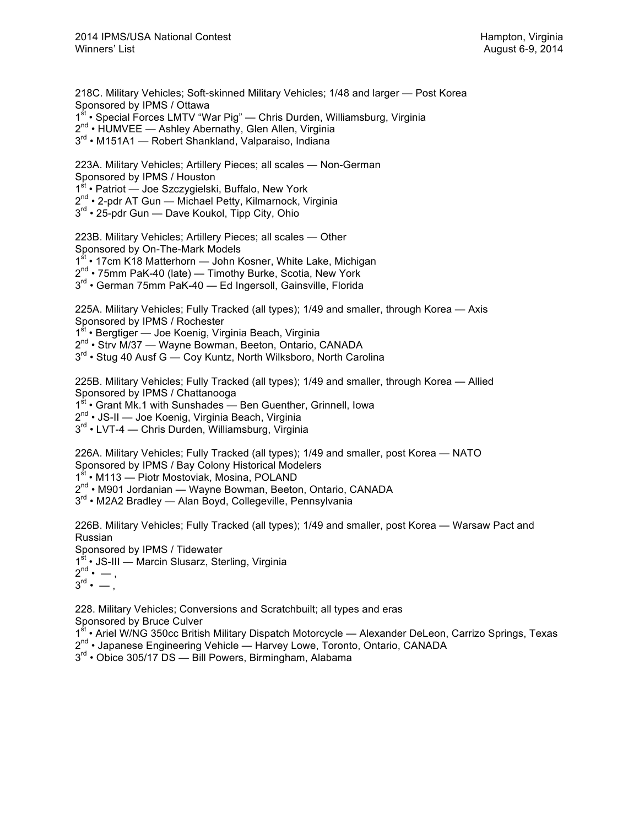218C. Military Vehicles; Soft-skinned Military Vehicles; 1/48 and larger — Post Korea Sponsored by IPMS / Ottawa 1<sup>st</sup> • Special Forces LMTV "War Pig" — Chris Durden, Williamsburg, Virginia 2nd • HUMVEE — Ashley Abernathy, Glen Allen, Virginia 3<sup>rd</sup> • M151A1 — Robert Shankland, Valparaiso, Indiana

223A. Military Vehicles; Artillery Pieces; all scales — Non-German Sponsored by IPMS / Houston 1st • Patriot — Joe Szczygielski, Buffalo, New York 2<sup>nd</sup> • 2-pdr AT Gun — Michael Petty, Kilmarnock, Virginia 3<sup>rd</sup> • 25-pdr Gun — Dave Koukol, Tipp City, Ohio

223B. Military Vehicles; Artillery Pieces; all scales — Other Sponsored by On-The-Mark Models 1<sup>st</sup> • 17cm K18 Matterhorn — John Kosner, White Lake, Michigan  $2^{nd}$  • 75mm PaK-40 (late) — Timothy Burke, Scotia, New York

3<sup>rd</sup> • German 75mm PaK-40 — Ed Ingersoll, Gainsville, Florida

225A. Military Vehicles; Fully Tracked (all types); 1/49 and smaller, through Korea — Axis Sponsored by IPMS / Rochester 1<sup>st</sup> • Bergtiger — Joe Koenig, Virginia Beach, Virginia 2<sup>nd</sup> • Strv M/37 — Wayne Bowman, Beeton, Ontario, CANADA

 $3<sup>rd</sup>$  • Stug 40 Ausf G — Coy Kuntz, North Wilksboro, North Carolina

225B. Military Vehicles; Fully Tracked (all types); 1/49 and smaller, through Korea — Allied Sponsored by IPMS / Chattanooga

1<sup>st</sup> • Grant Mk.1 with Sunshades — Ben Guenther, Grinnell, Iowa

2<sup>nd</sup> • JS-II — Joe Koenig, Virginia Beach, Virginia

3<sup>rd</sup> • LVT-4 — Chris Durden, Williamsburg, Virginia

226A. Military Vehicles; Fully Tracked (all types); 1/49 and smaller, post Korea — NATO Sponsored by IPMS / Bay Colony Historical Modelers

1<sup>st</sup> • M113 — Piotr Mostoviak, Mosina, POLAND

2<sup>nd</sup> • M901 Jordanian — Wayne Bowman, Beeton, Ontario, CANADA

 $3<sup>rd</sup>$  • M2A2 Bradley — Alan Bovd, Collegeville, Pennsylvania

226B. Military Vehicles; Fully Tracked (all types); 1/49 and smaller, post Korea — Warsaw Pact and Russian

Sponsored by IPMS / Tidewater

1<sup>st</sup> • JS-III — Marcin Slusarz, Sterling, Virginia

 $2^{nd} \cdot -$ ,

 $\overline{3}^{\text{rd}}$  •  $-$  .

228. Military Vehicles; Conversions and Scratchbuilt; all types and eras

Sponsored by Bruce Culver

1<sup>st</sup> • Ariel W/NG 350cc British Military Dispatch Motorcycle — Alexander DeLeon, Carrizo Springs, Texas

- 2<sup>nd</sup> Japanese Engineering Vehicle Harvey Lowe, Toronto, Ontario, CANADA
- 3<sup>rd</sup> Obice 305/17 DS Bill Powers, Birmingham, Alabama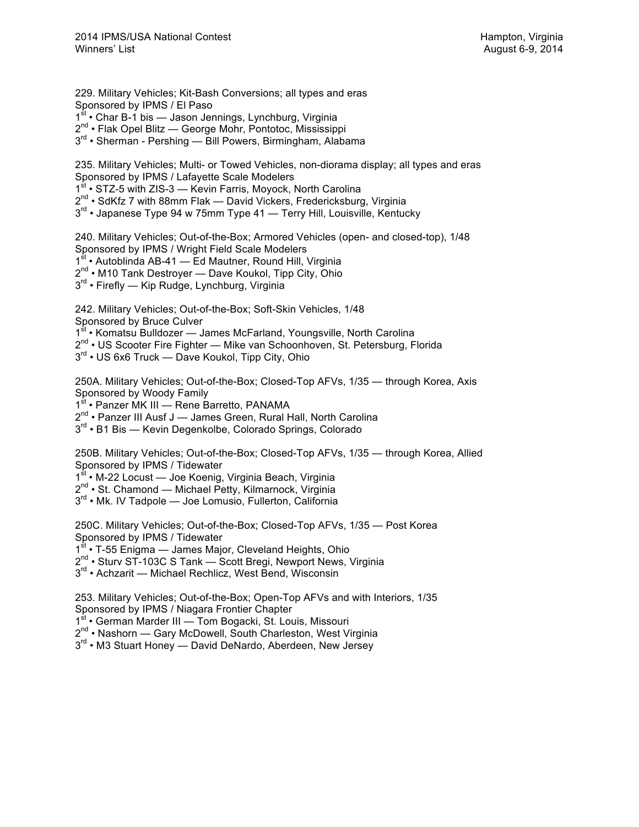229. Military Vehicles; Kit-Bash Conversions; all types and eras Sponsored by IPMS / El Paso  $1<sup>st</sup>$  • Char B-1 bis — Jason Jennings, Lynchburg, Virginia 2nd • Flak Opel Blitz — George Mohr, Pontotoc, Mississippi 3<sup>rd</sup> • Sherman - Pershing — Bill Powers, Birmingham, Alabama 235. Military Vehicles; Multi- or Towed Vehicles, non-diorama display; all types and eras Sponsored by IPMS / Lafayette Scale Modelers 1<sup>st</sup> • STZ-5 with ZIS-3 — Kevin Farris, Moyock, North Carolina  $2^{nd}$  • SdKfz 7 with 88mm Flak — David Vickers, Fredericksburg, Virginia  $3<sup>rd</sup>$  • Japanese Type 94 w 75mm Type 41 — Terry Hill, Louisville, Kentucky 240. Military Vehicles; Out-of-the-Box; Armored Vehicles (open- and closed-top), 1/48 Sponsored by IPMS / Wright Field Scale Modelers 1<sup>st</sup> • Autoblinda AB-41 — Ed Mautner, Round Hill, Virginia 2<sup>nd</sup> • M10 Tank Destroyer — Dave Koukol, Tipp City, Ohio 3<sup>rd</sup> • Firefly — Kip Rudge, Lynchburg, Virginia 242. Military Vehicles; Out-of-the-Box; Soft-Skin Vehicles, 1/48 Sponsored by Bruce Culver 1<sup>st</sup> • Komatsu Bulldozer — James McFarland, Youngsville, North Carolina 2<sup>nd</sup> • US Scooter Fire Fighter — Mike van Schoonhoven, St. Petersburg, Florida 3<sup>rd</sup> • US 6x6 Truck — Dave Koukol, Tipp City, Ohio 250A. Military Vehicles; Out-of-the-Box; Closed-Top AFVs, 1/35 — through Korea, Axis Sponsored by Woody Family 1st • Panzer MK III — Rene Barretto, PANAMA  $2^{nd}$  • Panzer III Ausf J — James Green, Rural Hall, North Carolina 3<sup>rd</sup> • B1 Bis — Kevin Degenkolbe, Colorado Springs, Colorado 250B. Military Vehicles; Out-of-the-Box; Closed-Top AFVs, 1/35 — through Korea, Allied Sponsored by IPMS / Tidewater 1<sup>st</sup> • M-22 Locust — Joe Koenig, Virginia Beach, Virginia 2<sup>nd</sup> • St. Chamond — Michael Petty, Kilmarnock, Virginia  $3<sup>rd</sup>$  • Mk. IV Tadpole — Joe Lomusio, Fullerton, California 250C. Military Vehicles; Out-of-the-Box; Closed-Top AFVs, 1/35 — Post Korea Sponsored by IPMS / Tidewater 1<sup>st</sup> • T-55 Enigma — James Major, Cleveland Heights, Ohio 2<sup>nd</sup> • Sturv ST-103C S Tank — Scott Bregi, Newport News, Virginia 3<sup>rd</sup> • Achzarit — Michael Rechlicz, West Bend, Wisconsin 253. Military Vehicles; Out-of-the-Box; Open-Top AFVs and with Interiors, 1/35 Sponsored by IPMS / Niagara Frontier Chapter 1<sup>st</sup> • German Marder III — Tom Bogacki, St. Louis, Missouri 2<sup>nd</sup> • Nashorn — Gary McDowell, South Charleston, West Virginia 3<sup>rd</sup> • M3 Stuart Honey — David DeNardo, Aberdeen, New Jersey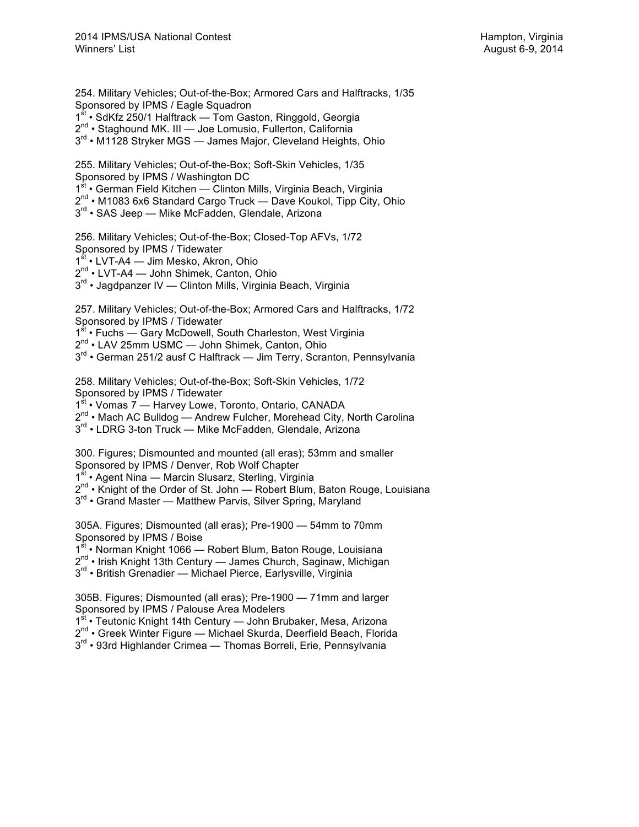254. Military Vehicles; Out-of-the-Box; Armored Cars and Halftracks, 1/35 Sponsored by IPMS / Eagle Squadron

1<sup>st</sup> • SdKfz 250/1 Halftrack — Tom Gaston, Ringgold, Georgia

2<sup>nd</sup> • Staghound MK. III — Joe Lomusio, Fullerton, California

3<sup>rd</sup> • M1128 Stryker MGS — James Major, Cleveland Heights, Ohio

255. Military Vehicles; Out-of-the-Box; Soft-Skin Vehicles, 1/35 Sponsored by IPMS / Washington DC 1<sup>st</sup> • German Field Kitchen — Clinton Mills, Virginia Beach, Virginia  $2^{nd}$  • M1083 6x6 Standard Cargo Truck — Dave Koukol, Tipp City, Ohio

3<sup>rd</sup> • SAS Jeep — Mike McFadden, Glendale, Arizona

256. Military Vehicles; Out-of-the-Box; Closed-Top AFVs, 1/72 Sponsored by IPMS / Tidewater

1<sup>st</sup> • LVT-A4 — Jim Mesko, Akron, Ohio

2<sup>nd</sup> • LVT-A4 — John Shimek, Canton, Ohio

3<sup>rd</sup> • Jagdpanzer IV — Clinton Mills, Virginia Beach, Virginia

257. Military Vehicles; Out-of-the-Box; Armored Cars and Halftracks, 1/72 Sponsored by IPMS / Tidewater

1<sup>st</sup> • Fuchs — Gary McDowell, South Charleston, West Virginia

2nd • LAV 25mm USMC — John Shimek, Canton, Ohio

3<sup>rd</sup> • German 251/2 ausf C Halftrack — Jim Terry, Scranton, Pennsylvania

258. Military Vehicles; Out-of-the-Box; Soft-Skin Vehicles, 1/72 Sponsored by IPMS / Tidewater

1<sup>st</sup> • Vomas 7 — Harvey Lowe, Toronto, Ontario, CANADA

 $2^{nd}$  • Mach AC Bulldog — Andrew Fulcher, Morehead City, North Carolina

3<sup>rd</sup> • LDRG 3-ton Truck — Mike McFadden, Glendale, Arizona

300. Figures; Dismounted and mounted (all eras); 53mm and smaller Sponsored by IPMS / Denver, Rob Wolf Chapter

1<sup>st</sup> • Agent Nina — Marcin Slusarz, Sterling, Virginia

 $2^{nd}$  • Knight of the Order of St. John — Robert Blum, Baton Rouge, Louisiana

 $3<sup>rd</sup>$  • Grand Master — Matthew Parvis, Silver Spring, Maryland

305A. Figures; Dismounted (all eras); Pre-1900 — 54mm to 70mm Sponsored by IPMS / Boise

1<sup>st</sup> • Norman Knight 1066 — Robert Blum, Baton Rouge, Louisiana

2<sup>nd</sup> • Irish Knight 13th Century — James Church, Saginaw, Michigan

3<sup>rd</sup> • British Grenadier — Michael Pierce, Earlysville, Virginia

305B. Figures; Dismounted (all eras); Pre-1900 — 71mm and larger Sponsored by IPMS / Palouse Area Modelers

1<sup>st</sup> • Teutonic Knight 14th Century — John Brubaker, Mesa, Arizona

2<sup>nd</sup> • Greek Winter Figure — Michael Skurda, Deerfield Beach, Florida

3<sup>rd</sup> • 93rd Highlander Crimea — Thomas Borreli, Erie, Pennsylvania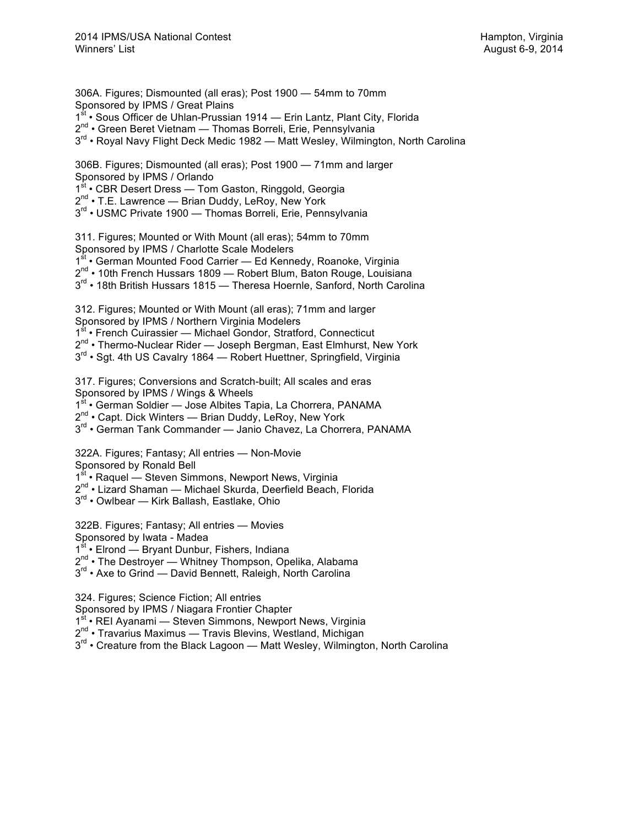306A. Figures; Dismounted (all eras); Post 1900 — 54mm to 70mm Sponsored by IPMS / Great Plains 1<sup>st</sup> • Sous Officer de Uhlan-Prussian 1914 — Erin Lantz, Plant City, Florida 2<sup>nd</sup> • Green Beret Vietnam — Thomas Borreli, Erie, Pennsylvania  $3<sup>rd</sup>$  • Royal Navy Flight Deck Medic 1982 — Matt Wesley, Wilmington, North Carolina

306B. Figures; Dismounted (all eras); Post 1900 — 71mm and larger Sponsored by IPMS / Orlando 1st • CBR Desert Dress — Tom Gaston, Ringgold, Georgia 2<sup>nd</sup> • T.E. Lawrence — Brian Duddy, LeRoy, New York 3<sup>rd</sup> • USMC Private 1900 — Thomas Borreli, Erie, Pennsylvania

311. Figures; Mounted or With Mount (all eras); 54mm to 70mm Sponsored by IPMS / Charlotte Scale Modelers 1<sup>st</sup> • German Mounted Food Carrier — Ed Kennedy, Roanoke, Virginia 2<sup>nd</sup> • 10th French Hussars 1809 - Robert Blum, Baton Rouge, Louisiana 3<sup>rd</sup> • 18th British Hussars 1815 — Theresa Hoernle, Sanford, North Carolina

312. Figures; Mounted or With Mount (all eras); 71mm and larger Sponsored by IPMS / Northern Virginia Modelers 1<sup>st</sup> • French Cuirassier — Michael Gondor, Stratford, Connecticut  $2^{nd}$  • Thermo-Nuclear Rider — Joseph Bergman, East Elmhurst, New York 3<sup>rd</sup> • Sgt. 4th US Cavalry 1864 — Robert Huettner, Springfield, Virginia

317. Figures; Conversions and Scratch-built; All scales and eras Sponsored by IPMS / Wings & Wheels

1<sup>st</sup> • German Soldier — Jose Albites Tapia, La Chorrera, PANAMA

2<sup>nd</sup> • Capt. Dick Winters — Brian Duddy, LeRoy, New York

3<sup>rd</sup> • German Tank Commander — Janio Chavez, La Chorrera, PANAMA

322A. Figures; Fantasy; All entries — Non-Movie Sponsored by Ronald Bell

1<sup>st</sup> • Raquel — Steven Simmons, Newport News, Virginia

2<sup>nd</sup> • Lizard Shaman — Michael Skurda, Deerfield Beach, Florida

3<sup>rd</sup> • Owlbear — Kirk Ballash, Eastlake, Ohio

322B. Figures; Fantasy; All entries — Movies Sponsored by Iwata - Madea 1<sup>st</sup> • Elrond — Bryant Dunbur, Fishers, Indiana 2<sup>nd</sup> • The Destroyer — Whitney Thompson, Opelika, Alabama 3<sup>rd</sup> • Axe to Grind — David Bennett, Raleigh, North Carolina

324. Figures; Science Fiction; All entries

Sponsored by IPMS / Niagara Frontier Chapter

1<sup>st</sup> • REI Ayanami — Steven Simmons, Newport News, Virginia

2<sup>nd</sup> • Travarius Maximus — Travis Blevins, Westland, Michigan

 $3<sup>rd</sup>$  • Creature from the Black Lagoon — Matt Wesley, Wilmington, North Carolina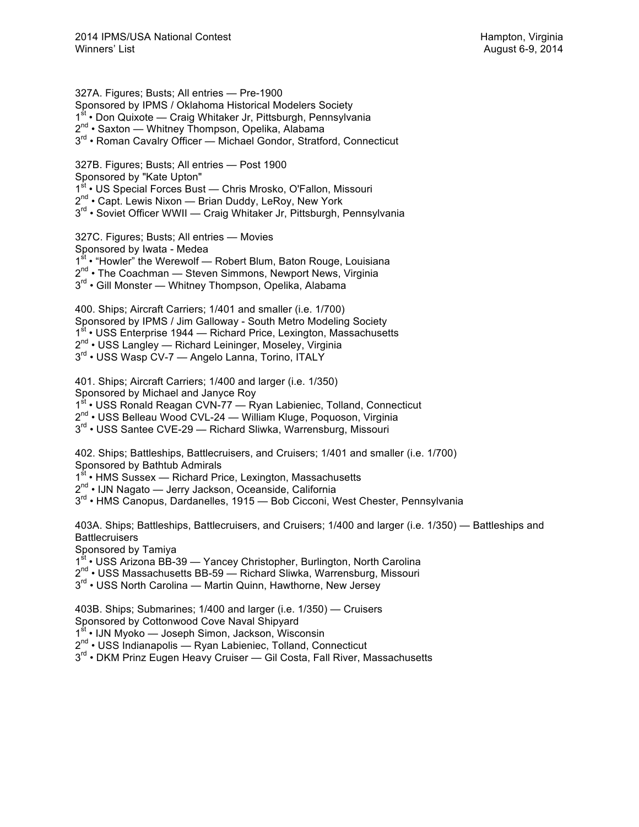327A. Figures; Busts; All entries — Pre-1900 Sponsored by IPMS / Oklahoma Historical Modelers Society 1<sup>st</sup> • Don Quixote — Craig Whitaker Jr, Pittsburgh, Pennsylvania 2<sup>nd</sup> • Saxton — Whitney Thompson, Opelika, Alabama 3<sup>rd</sup> • Roman Cavalry Officer — Michael Gondor, Stratford, Connecticut

327B. Figures; Busts; All entries — Post 1900 Sponsored by "Kate Upton" 1<sup>st</sup> • US Special Forces Bust — Chris Mrosko, O'Fallon, Missouri  $2^{nd}$  • Capt. Lewis Nixon — Brian Duddy, LeRoy, New York 3<sup>rd</sup> • Soviet Officer WWII — Craig Whitaker Jr, Pittsburgh, Pennsylvania

327C. Figures; Busts; All entries — Movies Sponsored by Iwata - Medea 1<sup>st</sup> • "Howler" the Werewolf — Robert Blum, Baton Rouge, Louisiana 2<sup>nd</sup> • The Coachman — Steven Simmons, Newport News, Virginia 3<sup>rd</sup> • Gill Monster — Whitney Thompson, Opelika, Alabama

400. Ships; Aircraft Carriers; 1/401 and smaller (i.e. 1/700) Sponsored by IPMS / Jim Galloway - South Metro Modeling Society 1<sup>st</sup> • USS Enterprise 1944 — Richard Price, Lexington, Massachusetts 2<sup>nd</sup> • USS Langley — Richard Leininger, Moseley, Virginia  $3^{\text{rd}}$  • USS Wasp CV-7 — Angelo Lanna, Torino, ITALY

401. Ships; Aircraft Carriers; 1/400 and larger (i.e. 1/350) Sponsored by Michael and Janyce Roy

1<sup>st</sup> • USS Ronald Reagan CVN-77 — Ryan Labieniec, Tolland, Connecticut

2<sup>nd</sup> • USS Belleau Wood CVL-24 — William Kluge, Poquoson, Virginia

3<sup>rd</sup> • USS Santee CVE-29 — Richard Sliwka, Warrensburg, Missouri

402. Ships; Battleships, Battlecruisers, and Cruisers; 1/401 and smaller (i.e. 1/700) Sponsored by Bathtub Admirals

1<sup>st</sup> • HMS Sussex — Richard Price, Lexington, Massachusetts

2<sup>nd</sup> • IJN Nagato — Jerry Jackson, Oceanside, California

 $3<sup>rd</sup>$  • HMS Canopus, Dardanelles, 1915 — Bob Cicconi, West Chester, Pennsylvania

403A. Ships; Battleships, Battlecruisers, and Cruisers; 1/400 and larger (i.e. 1/350) — Battleships and **Battlecruisers** 

Sponsored by Tamiya

1<sup>st</sup> • USS Arizona BB-39 — Yancey Christopher, Burlington, North Carolina

2<sup>nd</sup> • USS Massachusetts BB-59 — Richard Sliwka, Warrensburg, Missouri

3<sup>rd</sup> • USS North Carolina — Martin Quinn, Hawthorne, New Jersey

403B. Ships; Submarines; 1/400 and larger (i.e. 1/350) — Cruisers Sponsored by Cottonwood Cove Naval Shipyard

1<sup>st</sup> • IJN Myoko — Joseph Simon, Jackson, Wisconsin

2<sup>nd</sup> • USS Indianapolis — Ryan Labieniec, Tolland, Connecticut

3<sup>rd</sup> • DKM Prinz Eugen Heavy Cruiser — Gil Costa, Fall River, Massachusetts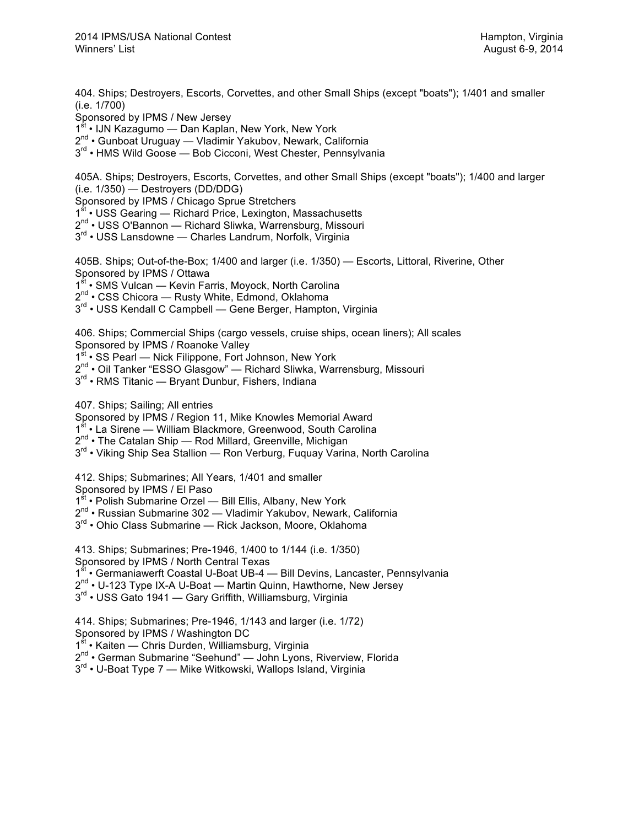404. Ships; Destroyers, Escorts, Corvettes, and other Small Ships (except "boats"); 1/401 and smaller (i.e. 1/700)

Sponsored by IPMS / New Jersey

1<sup>st</sup> • IJN Kazagumo — Dan Kaplan, New York, New York

2<sup>nd</sup> • Gunboat Uruguay — Vladimir Yakubov, Newark, California

3<sup>rd</sup> • HMS Wild Goose — Bob Cicconi, West Chester, Pennsylvania

405A. Ships; Destroyers, Escorts, Corvettes, and other Small Ships (except "boats"); 1/400 and larger (i.e. 1/350) — Destroyers (DD/DDG)

Sponsored by IPMS / Chicago Sprue Stretchers

1<sup>st</sup> • USS Gearing — Richard Price, Lexington, Massachusetts

2<sup>nd</sup> • USS O'Bannon — Richard Sliwka, Warrensburg, Missouri

3<sup>rd</sup> • USS Lansdowne — Charles Landrum, Norfolk, Virginia

405B. Ships; Out-of-the-Box; 1/400 and larger (i.e. 1/350) — Escorts, Littoral, Riverine, Other Sponsored by IPMS / Ottawa

1<sup>st</sup> • SMS Vulcan — Kevin Farris, Moyock, North Carolina

2<sup>nd</sup> • CSS Chicora — Rusty White, Edmond, Oklahoma

3<sup>rd</sup> • USS Kendall C Campbell — Gene Berger, Hampton, Virginia

406. Ships; Commercial Ships (cargo vessels, cruise ships, ocean liners); All scales Sponsored by IPMS / Roanoke Valley

1<sup>st</sup> • SS Pearl — Nick Filippone, Fort Johnson, New York

2<sup>nd</sup> • Oil Tanker "ESSO Glasgow" — Richard Sliwka, Warrensburg, Missouri

3<sup>rd</sup> • RMS Titanic — Bryant Dunbur, Fishers, Indiana

407. Ships; Sailing; All entries

Sponsored by IPMS / Region 11, Mike Knowles Memorial Award

1<sup>st</sup> • La Sirene — William Blackmore, Greenwood, South Carolina

2nd • The Catalan Ship — Rod Millard, Greenville, Michigan

3<sup>rd</sup> • Viking Ship Sea Stallion — Ron Verburg, Fuguay Varina, North Carolina

412. Ships; Submarines; All Years, 1/401 and smaller

Sponsored by IPMS / El Paso

1<sup>st</sup> • Polish Submarine Orzel — Bill Ellis, Albany, New York

2<sup>nd</sup> • Russian Submarine 302 — Vladimir Yakubov, Newark, California

3<sup>rd</sup> • Ohio Class Submarine — Rick Jackson, Moore, Oklahoma

413. Ships; Submarines; Pre-1946, 1/400 to 1/144 (i.e. 1/350) Sponsored by IPMS / North Central Texas 1<sup>st</sup> • Germaniawerft Coastal U-Boat UB-4 — Bill Devins, Lancaster, Pennsylvania 2<sup>nd</sup> • U-123 Type IX-A U-Boat — Martin Quinn, Hawthorne, New Jersey 3<sup>rd</sup> • USS Gato 1941 — Gary Griffith, Williamsburg, Virginia

414. Ships; Submarines; Pre-1946, 1/143 and larger (i.e. 1/72) Sponsored by IPMS / Washington DC  $1<sup>st</sup>$  • Kaiten — Chris Durden, Williamsburg, Virginia 2<sup>nd</sup> • German Submarine "Seehund" — John Lyons, Riverview, Florida

 $3<sup>rd</sup>$  • U-Boat Type 7 — Mike Witkowski, Wallops Island, Virginia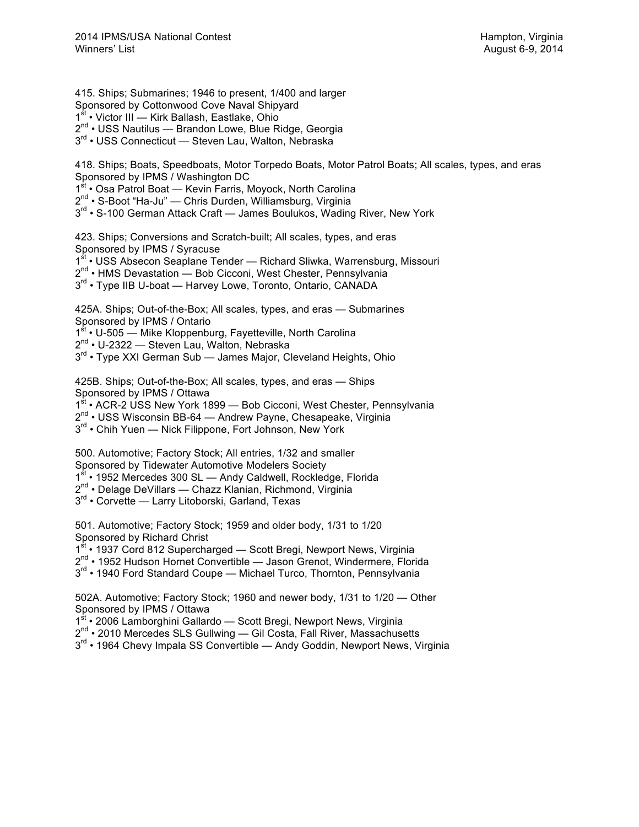Sponsored by Cottonwood Cove Naval Shipyard 1<sup>st</sup> • Victor III — Kirk Ballash, Eastlake, Ohio 2<sup>nd</sup> • USS Nautilus — Brandon Lowe, Blue Ridge, Georgia 3<sup>rd</sup> • USS Connecticut — Steven Lau, Walton, Nebraska 418. Ships; Boats, Speedboats, Motor Torpedo Boats, Motor Patrol Boats; All scales, types, and eras Sponsored by IPMS / Washington DC 1st • Osa Patrol Boat - Kevin Farris, Moyock, North Carolina 2<sup>nd</sup> • S-Boot "Ha-Ju" — Chris Durden, Williamsburg, Virginia 3<sup>rd</sup> • S-100 German Attack Craft — James Boulukos, Wading River, New York 423. Ships; Conversions and Scratch-built; All scales, types, and eras Sponsored by IPMS / Syracuse 1<sup>st</sup> • USS Absecon Seaplane Tender — Richard Sliwka, Warrensburg, Missouri 2<sup>nd</sup> • HMS Devastation — Bob Cicconi, West Chester, Pennsylvania

3<sup>rd</sup> • Type IIB U-boat — Harvey Lowe, Toronto, Ontario, CANADA

425A. Ships; Out-of-the-Box; All scales, types, and eras — Submarines Sponsored by IPMS / Ontario

1<sup>st</sup> • U-505 — Mike Kloppenburg, Fayetteville, North Carolina

415. Ships; Submarines; 1946 to present, 1/400 and larger

2<sup>nd</sup> • U-2322 — Steven Lau, Walton, Nebraska

3<sup>rd</sup> • Type XXI German Sub — James Major, Cleveland Heights, Ohio

425B. Ships; Out-of-the-Box; All scales, types, and eras — Ships Sponsored by IPMS / Ottawa

1<sup>st</sup> • ACR-2 USS New York 1899 — Bob Cicconi, West Chester, Pennsylvania

2<sup>nd</sup> • USS Wisconsin BB-64 — Andrew Payne, Chesapeake, Virginia

3<sup>rd</sup> • Chih Yuen — Nick Filippone, Fort Johnson, New York

500. Automotive; Factory Stock; All entries, 1/32 and smaller Sponsored by Tidewater Automotive Modelers Society

1st • 1952 Mercedes 300 SL - Andy Caldwell, Rockledge, Florida

2<sup>nd</sup> • Delage DeVillars — Chazz Klanian, Richmond, Virginia

3<sup>rd</sup> • Corvette — Larry Litoborski, Garland, Texas

501. Automotive; Factory Stock; 1959 and older body, 1/31 to 1/20 Sponsored by Richard Christ

1<sup>st</sup> • 1937 Cord 812 Supercharged — Scott Bregi, Newport News, Virginia

2<sup>nd</sup> • 1952 Hudson Hornet Convertible — Jason Grenot, Windermere, Florida

3<sup>rd</sup> • 1940 Ford Standard Coupe — Michael Turco, Thornton, Pennsylvania

502A. Automotive; Factory Stock; 1960 and newer body, 1/31 to 1/20 — Other Sponsored by IPMS / Ottawa

1<sup>st</sup> • 2006 Lamborghini Gallardo — Scott Bregi, Newport News, Virginia

2<sup>nd</sup> • 2010 Mercedes SLS Gullwing — Gil Costa, Fall River, Massachusetts

3<sup>rd</sup> • 1964 Chevy Impala SS Convertible — Andy Goddin, Newport News, Virginia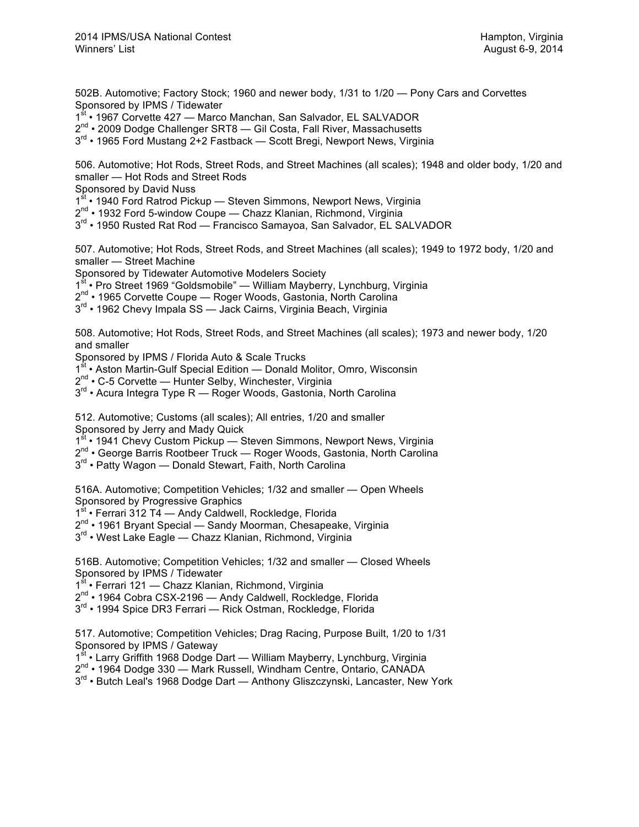502B. Automotive; Factory Stock; 1960 and newer body, 1/31 to 1/20 — Pony Cars and Corvettes Sponsored by IPMS / Tidewater

1st • 1967 Corvette 427 — Marco Manchan, San Salvador, EL SALVADOR

2<sup>nd</sup> • 2009 Dodge Challenger SRT8 — Gil Costa, Fall River, Massachusetts

 $3<sup>rd</sup>$  • 1965 Ford Mustang 2+2 Fastback — Scott Bregi, Newport News, Virginia

506. Automotive; Hot Rods, Street Rods, and Street Machines (all scales); 1948 and older body, 1/20 and smaller — Hot Rods and Street Rods

Sponsored by David Nuss

1<sup>st</sup> • 1940 Ford Ratrod Pickup — Steven Simmons, Newport News, Virginia

2<sup>nd</sup> • 1932 Ford 5-window Coupe — Chazz Klanian, Richmond, Virginia

3<sup>rd</sup> • 1950 Rusted Rat Rod — Francisco Samayoa, San Salvador, EL SALVADOR

507. Automotive; Hot Rods, Street Rods, and Street Machines (all scales); 1949 to 1972 body, 1/20 and smaller — Street Machine

Sponsored by Tidewater Automotive Modelers Society

1<sup>st</sup> • Pro Street 1969 "Goldsmobile" — William Mayberry, Lynchburg, Virginia

2nd • 1965 Corvette Coupe — Roger Woods, Gastonia, North Carolina

3<sup>rd</sup> • 1962 Chevy Impala SS — Jack Cairns, Virginia Beach, Virginia

508. Automotive; Hot Rods, Street Rods, and Street Machines (all scales); 1973 and newer body, 1/20 and smaller

Sponsored by IPMS / Florida Auto & Scale Trucks<br>1<sup>st</sup> • Aston Martin-Gulf Special Edition — Donald M

• Aston Martin-Gulf Special Edition — Donald Molitor, Omro, Wisconsin

2<sup>nd</sup> • C-5 Corvette — Hunter Selby, Winchester, Virginia

3<sup>rd</sup> • Acura Integra Type R — Roger Woods, Gastonia, North Carolina

512. Automotive; Customs (all scales); All entries, 1/20 and smaller Sponsored by Jerry and Mady Quick

1st • 1941 Chevy Custom Pickup - Steven Simmons, Newport News, Virginia

 $2^{nd}$  • George Barris Rootbeer Truck — Roger Woods, Gastonia, North Carolina

3<sup>rd</sup> • Patty Wagon — Donald Stewart, Faith, North Carolina

516A. Automotive; Competition Vehicles; 1/32 and smaller — Open Wheels

Sponsored by Progressive Graphics<br> $1^{\text{st}}$  • Ferrari 312 T4 — Andv Caldwell  $\cdot$  Ferrari 312 T4 — Andy Caldwell, Rockledge, Florida

2<sup>nd</sup> • 1961 Bryant Special — Sandy Moorman, Chesapeake, Virginia

3<sup>rd</sup> • West Lake Eagle — Chazz Klanian, Richmond, Virginia

516B. Automotive; Competition Vehicles; 1/32 and smaller — Closed Wheels Sponsored by IPMS / Tidewater

1<sup>st</sup> • Ferrari 121 — Chazz Klanian, Richmond, Virginia

2<sup>nd</sup> • 1964 Cobra CSX-2196 — Andy Caldwell, Rockledge, Florida

3<sup>rd</sup> • 1994 Spice DR3 Ferrari — Rick Ostman, Rockledge, Florida

517. Automotive; Competition Vehicles; Drag Racing, Purpose Built, 1/20 to 1/31 Sponsored by IPMS / Gateway

1<sup>st</sup> • Larry Griffith 1968 Dodge Dart — William Mayberry, Lynchburg, Virginia 2<sup>nd</sup> • 1964 Dodge 330 — Mark Russell, Windham Centre, Ontario, CANADA

 $3<sup>rd</sup>$  • Butch Leal's 1968 Dodge Dart — Anthony Gliszczynski, Lancaster, New York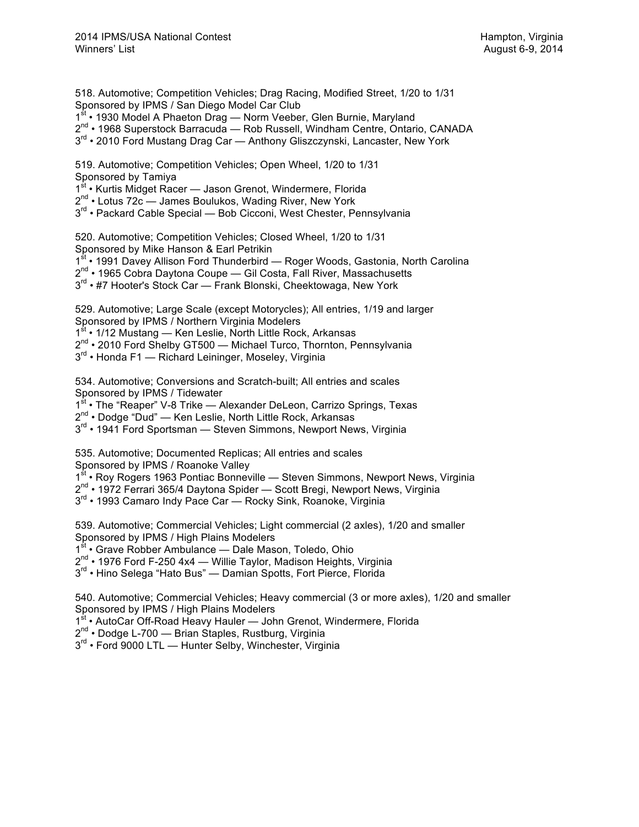518. Automotive; Competition Vehicles; Drag Racing, Modified Street, 1/20 to 1/31 Sponsored by IPMS / San Diego Model Car Club

1<sup>st</sup> • 1930 Model A Phaeton Drag — Norm Veeber, Glen Burnie, Maryland

 $2^{nd}$  • 1968 Superstock Barracuda — Rob Russell, Windham Centre, Ontario, CANADA

 $3<sup>rd</sup>$  • 2010 Ford Mustang Drag Car — Anthony Gliszczynski, Lancaster, New York

519. Automotive; Competition Vehicles; Open Wheel, 1/20 to 1/31 Sponsored by Tamiya

1st • Kurtis Midget Racer — Jason Grenot, Windermere, Florida

2<sup>nd</sup> • Lotus 72c — James Boulukos, Wading River, New York

3<sup>rd</sup> • Packard Cable Special — Bob Cicconi, West Chester, Pennsylvania

520. Automotive; Competition Vehicles; Closed Wheel, 1/20 to 1/31 Sponsored by Mike Hanson & Earl Petrikin

1<sup>st</sup> • 1991 Davey Allison Ford Thunderbird — Roger Woods, Gastonia, North Carolina

2<sup>nd</sup> • 1965 Cobra Daytona Coupe — Gil Costa, Fall River, Massachusetts

3<sup>rd</sup> • #7 Hooter's Stock Car — Frank Blonski, Cheektowaga, New York

529. Automotive; Large Scale (except Motorycles); All entries, 1/19 and larger Sponsored by IPMS / Northern Virginia Modelers

1<sup>st</sup> • 1/12 Mustang — Ken Leslie, North Little Rock, Arkansas

2<sup>nd</sup> • 2010 Ford Shelby GT500 — Michael Turco, Thornton, Pennsylvania

 $3<sup>rd</sup>$  • Honda F1 — Richard Leininger, Moseley, Virginia

534. Automotive; Conversions and Scratch-built; All entries and scales Sponsored by IPMS / Tidewater

1<sup>st</sup> • The "Reaper" V-8 Trike — Alexander DeLeon, Carrizo Springs, Texas

2<sup>nd</sup> • Dodge "Dud" — Ken Leslie, North Little Rock, Arkansas

3<sup>rd</sup> • 1941 Ford Sportsman — Steven Simmons, Newport News, Virginia

535. Automotive; Documented Replicas; All entries and scales Sponsored by IPMS / Roanoke Valley

1st • Roy Rogers 1963 Pontiac Bonneville — Steven Simmons, Newport News, Virginia

 $2^{nd}$  • 1972 Ferrari 365/4 Daytona Spider — Scott Bregi, Newport News, Virginia

3<sup>rd</sup> • 1993 Camaro Indy Pace Car - Rocky Sink, Roanoke, Virginia

539. Automotive; Commercial Vehicles; Light commercial (2 axles), 1/20 and smaller Sponsored by IPMS / High Plains Modelers

1<sup>st</sup> • Grave Robber Ambulance — Dale Mason, Toledo, Ohio

2<sup>nd</sup> • 1976 Ford F-250 4x4 - Willie Taylor, Madison Heights, Virginia

3<sup>rd</sup> • Hino Selega "Hato Bus" — Damian Spotts, Fort Pierce, Florida

540. Automotive; Commercial Vehicles; Heavy commercial (3 or more axles), 1/20 and smaller Sponsored by IPMS / High Plains Modelers

1<sup>st</sup> • AutoCar Off-Road Heavy Hauler — John Grenot, Windermere, Florida

2<sup>nd</sup> • Dodge L-700 — Brian Staples, Rustburg, Virginia

 $3^{rd}$  • Ford 9000 LTL — Hunter Selby, Winchester, Virginia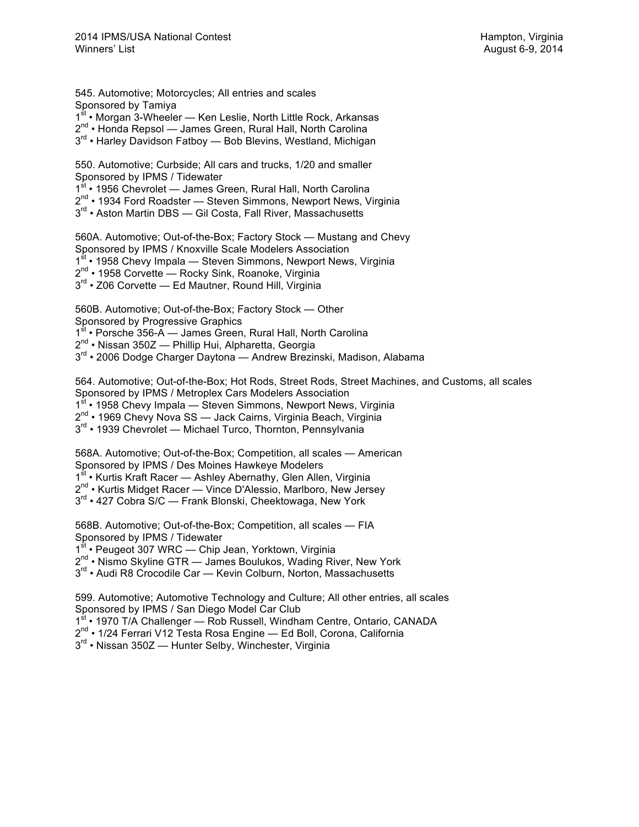545. Automotive; Motorcycles; All entries and scales Sponsored by Tamiya 1<sup>st</sup> • Morgan 3-Wheeler — Ken Leslie, North Little Rock, Arkansas 2<sup>nd</sup> • Honda Repsol — James Green, Rural Hall, North Carolina 3<sup>rd</sup> • Harley Davidson Fatboy — Bob Blevins, Westland, Michigan

550. Automotive; Curbside; All cars and trucks, 1/20 and smaller Sponsored by IPMS / Tidewater 1st • 1956 Chevrolet — James Green, Rural Hall, North Carolina

 $2^{nd}$  • 1934 Ford Roadster — Steven Simmons, Newport News, Virginia

3<sup>rd</sup> • Aston Martin DBS — Gil Costa, Fall River, Massachusetts

560A. Automotive; Out-of-the-Box; Factory Stock — Mustang and Chevy Sponsored by IPMS / Knoxville Scale Modelers Association 1<sup>st</sup> • 1958 Chevy Impala — Steven Simmons, Newport News, Virginia 2<sup>nd</sup> • 1958 Corvette — Rocky Sink, Roanoke, Virginia 3<sup>rd</sup> • Z06 Corvette — Ed Mautner, Round Hill, Virginia

560B. Automotive; Out-of-the-Box; Factory Stock — Other

Sponsored by Progressive Graphics

1st • Porsche 356-A — James Green, Rural Hall, North Carolina

 $2^{nd}$  • Nissan 350Z — Phillip Hui, Alpharetta, Georgia

3<sup>rd</sup> • 2006 Dodge Charger Daytona — Andrew Brezinski, Madison, Alabama

564. Automotive; Out-of-the-Box; Hot Rods, Street Rods, Street Machines, and Customs, all scales Sponsored by IPMS / Metroplex Cars Modelers Association

1<sup>st</sup> • 1958 Chevy Impala — Steven Simmons, Newport News, Virginia

2<sup>nd</sup> • 1969 Chevy Nova SS - Jack Cairns, Virginia Beach, Virginia

3<sup>rd</sup> • 1939 Chevrolet — Michael Turco, Thornton, Pennsylvania

568A. Automotive; Out-of-the-Box; Competition, all scales — American Sponsored by IPMS / Des Moines Hawkeye Modelers

1<sup>st</sup> • Kurtis Kraft Racer — Ashley Abernathy, Glen Allen, Virginia

2<sup>nd</sup> • Kurtis Midget Racer — Vince D'Alessio, Marlboro, New Jersey

3<sup>rd</sup> • 427 Cobra S/C — Frank Blonski, Cheektowaga, New York

568B. Automotive; Out-of-the-Box; Competition, all scales — FIA Sponsored by IPMS / Tidewater

1<sup>st</sup> • Peugeot 307 WRC — Chip Jean, Yorktown, Virginia

2<sup>nd</sup> • Nismo Skyline GTR — James Boulukos, Wading River, New York

3<sup>rd</sup> • Audi R8 Crocodile Car — Kevin Colburn, Norton, Massachusetts

599. Automotive; Automotive Technology and Culture; All other entries, all scales Sponsored by IPMS / San Diego Model Car Club

1st • 1970 T/A Challenger — Rob Russell, Windham Centre, Ontario, CANADA

2<sup>nd</sup> • 1/24 Ferrari V12 Testa Rosa Engine - Ed Boll, Corona, California

3<sup>rd</sup> • Nissan 350Z — Hunter Selby, Winchester, Virginia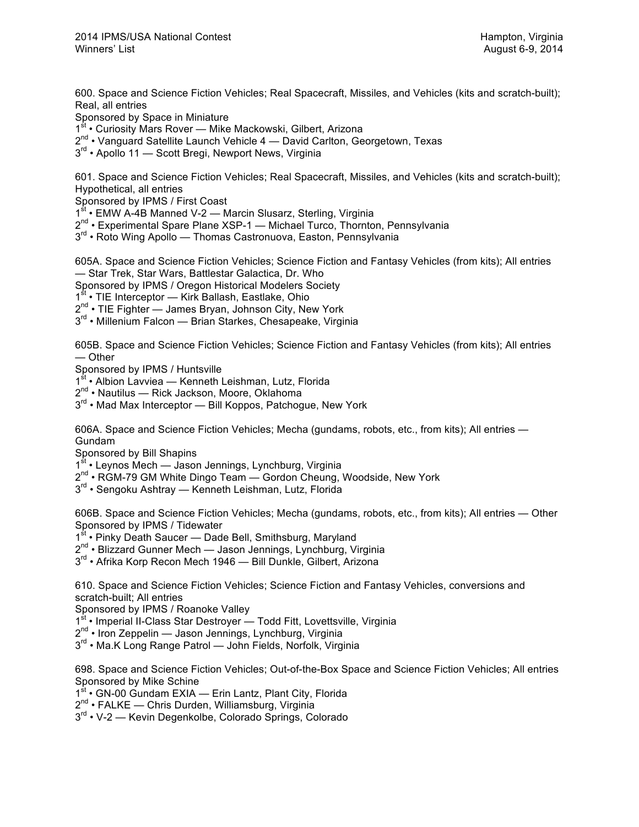600. Space and Science Fiction Vehicles; Real Spacecraft, Missiles, and Vehicles (kits and scratch-built); Real, all entries

Sponsored by Space in Miniature

- 1<sup>st</sup> Curiosity Mars Rover Mike Mackowski, Gilbert, Arizona
- $2^{nd}$  Vanguard Satellite Launch Vehicle 4 David Carlton, Georgetown, Texas
- 3<sup>rd</sup> Apollo 11 Scott Bregi, Newport News, Virginia

601. Space and Science Fiction Vehicles; Real Spacecraft, Missiles, and Vehicles (kits and scratch-built); Hypothetical, all entries

Sponsored by IPMS / First Coast

1<sup>st</sup> • EMW A-4B Manned V-2 — Marcin Slusarz, Sterling, Virginia

- 2<sup>nd</sup> Experimental Spare Plane XSP-1 Michael Turco, Thornton, Pennsylvania
- 3<sup>rd</sup> Roto Wing Apollo Thomas Castronuova, Easton, Pennsylvania

605A. Space and Science Fiction Vehicles; Science Fiction and Fantasy Vehicles (from kits); All entries — Star Trek, Star Wars, Battlestar Galactica, Dr. Who

Sponsored by IPMS / Oregon Historical Modelers Society

1<sup>st</sup> • TIE Interceptor — Kirk Ballash, Eastlake, Ohio

2<sup>nd</sup> • TIE Fighter — James Bryan, Johnson City, New York

3<sup>rd</sup> • Millenium Falcon — Brian Starkes, Chesapeake, Virginia

605B. Space and Science Fiction Vehicles; Science Fiction and Fantasy Vehicles (from kits); All entries — Other

Sponsored by IPMS / Huntsville

1<sup>st</sup> • Albion Lavviea — Kenneth Leishman, Lutz, Florida

2<sup>nd</sup> • Nautilus — Rick Jackson, Moore, Oklahoma

 $3<sup>rd</sup>$  • Mad Max Interceptor — Bill Koppos, Patchogue, New York

606A. Space and Science Fiction Vehicles; Mecha (gundams, robots, etc., from kits); All entries — Gundam

Sponsored by Bill Shapins

1<sup>st</sup> • Leynos Mech — Jason Jennings, Lynchburg, Virginia

2<sup>nd</sup> • RGM-79 GM White Dingo Team — Gordon Cheung, Woodside, New York

 $3<sup>rd</sup>$  • Sengoku Ashtray — Kenneth Leishman, Lutz, Florida

606B. Space and Science Fiction Vehicles; Mecha (gundams, robots, etc., from kits); All entries — Other Sponsored by IPMS / Tidewater

1<sup>st</sup> • Pinky Death Saucer — Dade Bell, Smithsburg, Marvland

2<sup>nd</sup> • Blizzard Gunner Mech — Jason Jennings, Lynchburg, Virginia

3<sup>rd</sup> • Afrika Korp Recon Mech 1946 — Bill Dunkle, Gilbert, Arizona

610. Space and Science Fiction Vehicles; Science Fiction and Fantasy Vehicles, conversions and scratch-built; All entries

Sponsored by IPMS / Roanoke Valley

1<sup>st</sup> • Imperial II-Class Star Destroyer — Todd Fitt, Lovettsville, Virginia

2<sup>nd</sup> • Iron Zeppelin — Jason Jennings, Lynchburg, Virginia

3<sup>rd</sup> • Ma.K Long Range Patrol — John Fields, Norfolk, Virginia

698. Space and Science Fiction Vehicles; Out-of-the-Box Space and Science Fiction Vehicles; All entries Sponsored by Mike Schine

1<sup>st</sup> • GN-00 Gundam EXIA — Erin Lantz, Plant City, Florida

2<sup>nd</sup> • FALKE — Chris Durden, Williamsburg, Virginia

3<sup>rd</sup> • V-2 - Kevin Degenkolbe, Colorado Springs, Colorado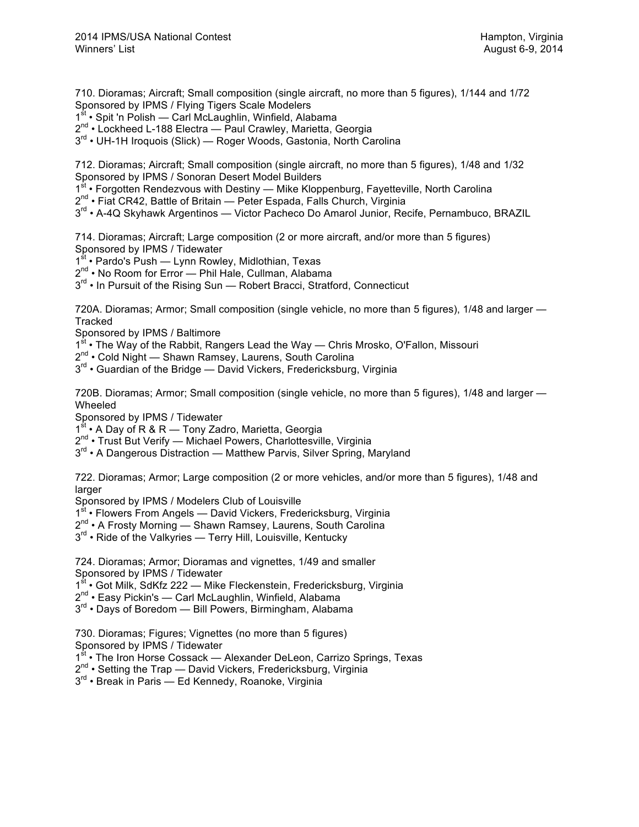710. Dioramas; Aircraft; Small composition (single aircraft, no more than 5 figures), 1/144 and 1/72 Sponsored by IPMS / Flying Tigers Scale Modelers

1<sup>st</sup> • Spit 'n Polish — Carl McLaughlin, Winfield, Alabama

2<sup>nd</sup> • Lockheed L-188 Electra — Paul Crawley, Marietta, Georgia

 $3<sup>rd</sup>$  • UH-1H Iroquois (Slick) — Roger Woods, Gastonia, North Carolina

712. Dioramas; Aircraft; Small composition (single aircraft, no more than 5 figures), 1/48 and 1/32 Sponsored by IPMS / Sonoran Desert Model Builders

 $1<sup>st</sup>$  • Forgotten Rendezvous with Destiny — Mike Kloppenburg, Fayetteville, North Carolina

 $2^{nd}$  • Fiat CR42, Battle of Britain — Peter Espada, Falls Church, Virginia

 $3<sup>rd</sup>$  • A-4Q Skyhawk Argentinos — Victor Pacheco Do Amarol Junior, Recife, Pernambuco, BRAZIL

714. Dioramas; Aircraft; Large composition (2 or more aircraft, and/or more than 5 figures) Sponsored by IPMS / Tidewater

 $1<sup>st</sup>$  • Pardo's Push — Lynn Rowley, Midlothian, Texas

2<sup>nd</sup> • No Room for Error — Phil Hale, Cullman, Alabama

3<sup>rd</sup> • In Pursuit of the Rising Sun — Robert Bracci, Stratford, Connecticut

720A. Dioramas; Armor; Small composition (single vehicle, no more than 5 figures), 1/48 and larger — **Tracked** 

Sponsored by IPMS / Baltimore

 $1^{st}$  • The Way of the Rabbit, Rangers Lead the Way — Chris Mrosko, O'Fallon, Missouri

2<sup>nd</sup> • Cold Night — Shawn Ramsey, Laurens, South Carolina

 $3<sup>rd</sup>$  • Guardian of the Bridge — David Vickers, Fredericksburg, Virginia

720B. Dioramas; Armor; Small composition (single vehicle, no more than 5 figures), 1/48 and larger — Wheeled

Sponsored by IPMS / Tidewater

1<sup>st</sup> • A Day of R & R — Tony Zadro, Marietta, Georgia

2<sup>nd</sup> • Trust But Verify — Michael Powers, Charlottesville, Virginia

 $3<sup>rd</sup>$  • A Dangerous Distraction — Matthew Parvis, Silver Spring, Maryland

722. Dioramas; Armor; Large composition (2 or more vehicles, and/or more than 5 figures), 1/48 and larger

Sponsored by IPMS / Modelers Club of Louisville

1<sup>st</sup> • Flowers From Angels — David Vickers, Fredericksburg, Virginia

2<sup>nd</sup> • A Frosty Morning — Shawn Ramsey, Laurens, South Carolina

 $3^{rd}$  • Ride of the Valkyries — Terry Hill, Louisville, Kentucky

724. Dioramas; Armor; Dioramas and vignettes, 1/49 and smaller Sponsored by IPMS / Tidewater

1<sup>st</sup> • Got Milk, SdKfz 222 — Mike Fleckenstein, Fredericksburg, Virginia

 $2^{nd}$  • Easy Pickin's — Carl McLaughlin, Winfield, Alabama

3<sup>rd</sup> • Days of Boredom — Bill Powers, Birmingham, Alabama

730. Dioramas; Figures; Vignettes (no more than 5 figures) Sponsored by IPMS / Tidewater

1st • The Iron Horse Cossack — Alexander DeLeon, Carrizo Springs, Texas

 $2^{nd}$  • Setting the Trap — David Vickers, Fredericksburg, Virginia

 $3^{rd}$  • Break in Paris — Ed Kennedy, Roanoke, Virginia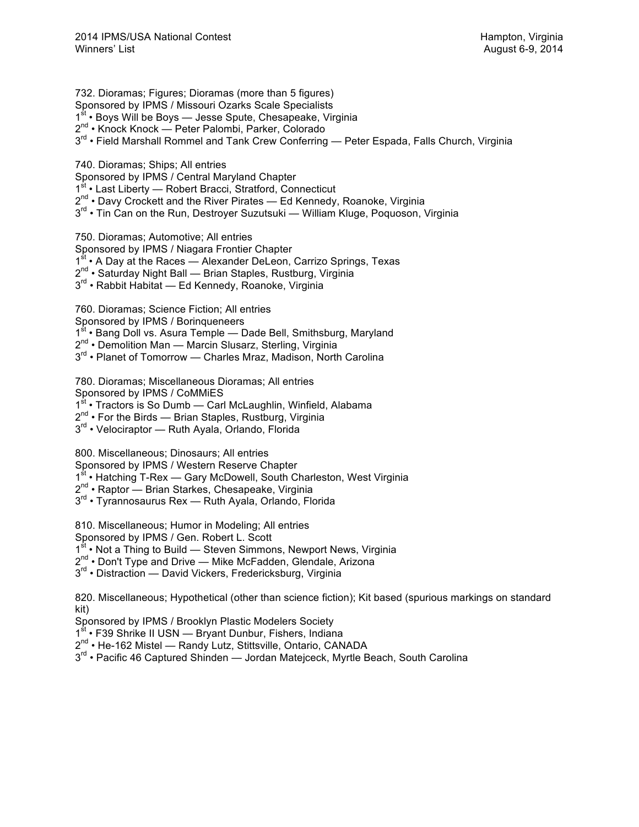732. Dioramas; Figures; Dioramas (more than 5 figures) Sponsored by IPMS / Missouri Ozarks Scale Specialists 1<sup>st</sup> • Boys Will be Boys — Jesse Spute, Chesapeake, Virginia 2nd • Knock Knock — Peter Palombi, Parker, Colorado  $3<sup>rd</sup>$  • Field Marshall Rommel and Tank Crew Conferring — Peter Espada, Falls Church, Virginia

740. Dioramas; Ships; All entries

Sponsored by IPMS / Central Maryland Chapter

1<sup>st</sup> • Last Liberty — Robert Bracci, Stratford, Connecticut

2<sup>nd</sup> • Davy Crockett and the River Pirates — Ed Kennedy, Roanoke, Virginia

 $3<sup>rd</sup>$  • Tin Can on the Run, Destroyer Suzutsuki — William Kluge, Poquoson, Virginia

750. Dioramas; Automotive; All entries

Sponsored by IPMS / Niagara Frontier Chapter

1<sup>st</sup> • A Day at the Races — Alexander DeLeon, Carrizo Springs, Texas

2<sup>nd</sup> • Saturday Night Ball — Brian Staples, Rustburg, Virginia

3<sup>rd</sup> • Rabbit Habitat — Ed Kennedy, Roanoke, Virginia

760. Dioramas; Science Fiction; All entries

Sponsored by IPMS / Borinqueneers

1<sup>st</sup> • Bang Doll vs. Asura Temple — Dade Bell, Smithsburg, Maryland

 $2^{nd}$  • Demolition Man — Marcin Slusarz, Sterling, Virginia

3<sup>rd</sup> • Planet of Tomorrow — Charles Mraz, Madison, North Carolina

780. Dioramas; Miscellaneous Dioramas; All entries

Sponsored by IPMS / CoMMiES

1<sup>st</sup> • Tractors is So Dumb — Carl McLaughlin, Winfield, Alabama

 $2^{nd}$  • For the Birds — Brian Staples, Rustburg, Virginia

3<sup>rd</sup> • Velociraptor — Ruth Ayala, Orlando, Florida

800. Miscellaneous; Dinosaurs; All entries

Sponsored by IPMS / Western Reserve Chapter

1<sup>st</sup> • Hatching T-Rex — Gary McDowell, South Charleston, West Virginia

- 2<sup>nd</sup> Raptor Brian Starkes, Chesapeake, Virginia
- 3<sup>rd</sup> Tyrannosaurus Rex Ruth Ayala, Orlando, Florida

810. Miscellaneous; Humor in Modeling; All entries

Sponsored by IPMS / Gen. Robert L. Scott

1st • Not a Thing to Build — Steven Simmons, Newport News, Virginia

2<sup>nd</sup> • Don't Type and Drive — Mike McFadden, Glendale, Arizona

3<sup>rd</sup> • Distraction — David Vickers, Fredericksburg, Virginia

820. Miscellaneous; Hypothetical (other than science fiction); Kit based (spurious markings on standard kit)

Sponsored by IPMS / Brooklyn Plastic Modelers Society

1<sup>st</sup> • F39 Shrike II USN — Bryant Dunbur, Fishers, Indiana

2<sup>nd</sup> • He-162 Mistel — Randy Lutz, Stittsville, Ontario, CANADA

3<sup>rd</sup> • Pacific 46 Captured Shinden — Jordan Matejceck, Myrtle Beach, South Carolina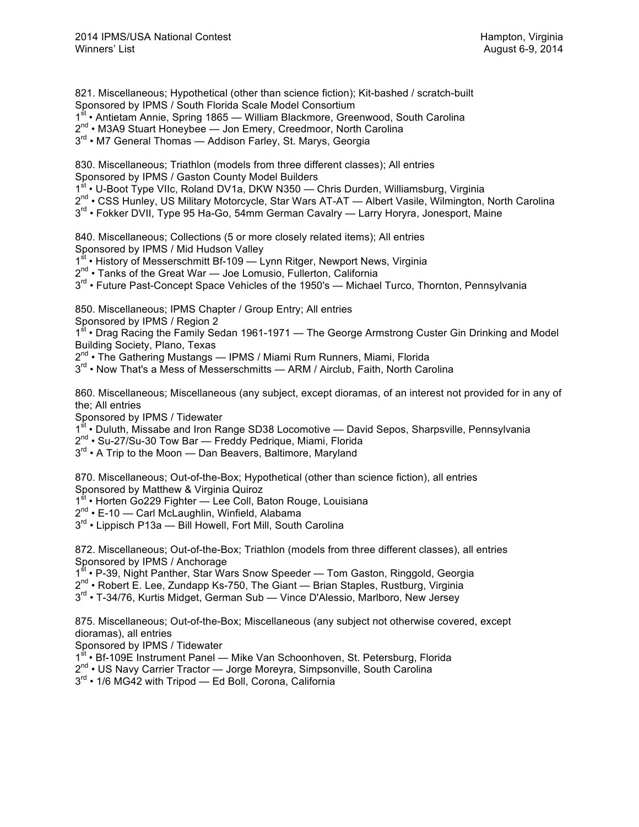821. Miscellaneous; Hypothetical (other than science fiction); Kit-bashed / scratch-built Sponsored by IPMS / South Florida Scale Model Consortium

1<sup>st</sup> • Antietam Annie, Spring 1865 — William Blackmore, Greenwood, South Carolina

2<sup>nd</sup> • M3A9 Stuart Honeybee — Jon Emery, Creedmoor, North Carolina

3<sup>rd</sup> • M7 General Thomas — Addison Farley, St. Marys, Georgia

830. Miscellaneous; Triathlon (models from three different classes); All entries Sponsored by IPMS / Gaston County Model Builders

1st • U-Boot Type VIIc, Roland DV1a, DKW N350 - Chris Durden, Williamsburg, Virginia

 $2^{nd}$  • CSS Hunley, US Military Motorcycle, Star Wars AT-AT — Albert Vasile, Wilmington, North Carolina

 $3<sup>rd</sup>$  • Fokker DVII, Type 95 Ha-Go, 54mm German Cavalry — Larry Horyra, Jonesport, Maine

840. Miscellaneous; Collections (5 or more closely related items); All entries Sponsored by IPMS / Mid Hudson Valley

1<sup>st</sup> • History of Messerschmitt Bf-109 — Lynn Ritger, Newport News, Virginia

2<sup>nd</sup> • Tanks of the Great War — Joe Lomusio, Fullerton, California

 $3<sup>rd</sup>$  • Future Past-Concept Space Vehicles of the 1950's — Michael Turco, Thornton, Pennsylvania

850. Miscellaneous; IPMS Chapter / Group Entry; All entries

Sponsored by IPMS / Region 2

1<sup>st</sup> • Drag Racing the Family Sedan 1961-1971 — The George Armstrong Custer Gin Drinking and Model Building Society, Plano, Texas

2<sup>nd</sup> • The Gathering Mustangs — IPMS / Miami Rum Runners, Miami, Florida

3<sup>rd</sup> • Now That's a Mess of Messerschmitts — ARM / Airclub, Faith, North Carolina

860. Miscellaneous; Miscellaneous (any subject, except dioramas, of an interest not provided for in any of the; All entries

Sponsored by IPMS / Tidewater

1<sup>st</sup> • Duluth, Missabe and Iron Range SD38 Locomotive — David Sepos, Sharpsville, Pennsylvania

2<sup>nd</sup> • Su-27/Su-30 Tow Bar - Freddy Pedrique, Miami, Florida

 $3<sup>rd</sup>$  • A Trip to the Moon — Dan Beavers, Baltimore, Maryland

870. Miscellaneous; Out-of-the-Box; Hypothetical (other than science fiction), all entries Sponsored by Matthew & Virginia Quiroz

1<sup>st</sup> • Horten Go229 Fighter — Lee Coll, Baton Rouge, Louisiana

2<sup>nd</sup> • E-10 — Carl McLaughlin, Winfield, Alabama

3<sup>rd</sup> • Lippisch P13a — Bill Howell, Fort Mill, South Carolina

872. Miscellaneous; Out-of-the-Box; Triathlon (models from three different classes), all entries Sponsored by IPMS / Anchorage

1<sup>st</sup> • P-39, Night Panther, Star Wars Snow Speeder — Tom Gaston, Ringgold, Georgia

 $2^{nd}$  • Robert E. Lee, Zundapp Ks-750, The Giant — Brian Staples, Rustburg, Virginia

3<sup>rd</sup> • T-34/76, Kurtis Midget, German Sub — Vince D'Alessio, Marlboro, New Jersey

875. Miscellaneous; Out-of-the-Box; Miscellaneous (any subject not otherwise covered, except dioramas), all entries

Sponsored by IPMS / Tidewater

1<sup>st</sup> • Bf-109E Instrument Panel — Mike Van Schoonhoven, St. Petersburg, Florida

2<sup>nd</sup> • US Navy Carrier Tractor — Jorge Moreyra, Simpsonville, South Carolina

 $3^{rd}$  • 1/6 MG42 with Tripod — Ed Boll, Corona, California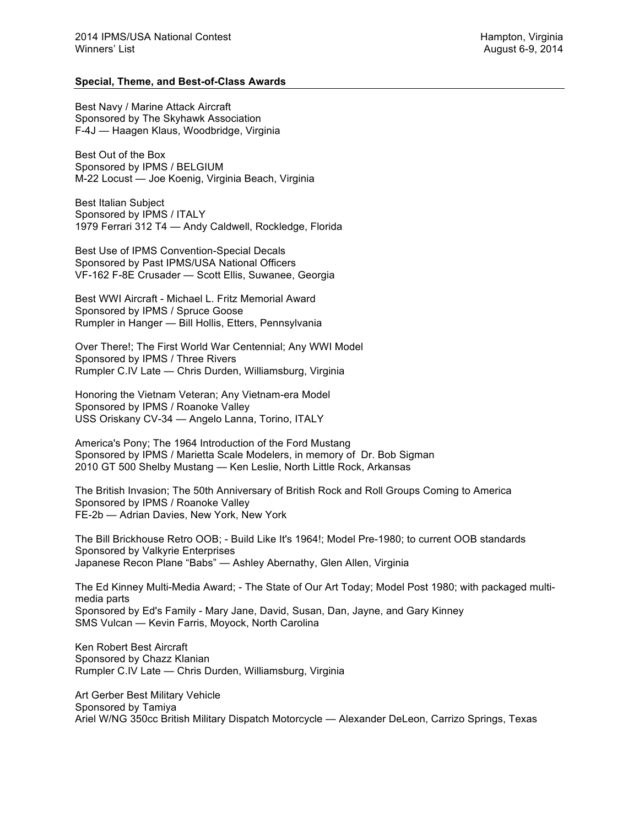## **Special, Theme, and Best-of-Class Awards**

Best Navy / Marine Attack Aircraft Sponsored by The Skyhawk Association F-4J — Haagen Klaus, Woodbridge, Virginia

Best Out of the Box Sponsored by IPMS / BELGIUM M-22 Locust — Joe Koenig, Virginia Beach, Virginia

Best Italian Subject Sponsored by IPMS / ITALY 1979 Ferrari 312 T4 — Andy Caldwell, Rockledge, Florida

Best Use of IPMS Convention-Special Decals Sponsored by Past IPMS/USA National Officers VF-162 F-8E Crusader — Scott Ellis, Suwanee, Georgia

Best WWI Aircraft - Michael L. Fritz Memorial Award Sponsored by IPMS / Spruce Goose Rumpler in Hanger — Bill Hollis, Etters, Pennsylvania

Over There!; The First World War Centennial; Any WWI Model Sponsored by IPMS / Three Rivers Rumpler C.IV Late — Chris Durden, Williamsburg, Virginia

Honoring the Vietnam Veteran; Any Vietnam-era Model Sponsored by IPMS / Roanoke Valley USS Oriskany CV-34 — Angelo Lanna, Torino, ITALY

America's Pony; The 1964 Introduction of the Ford Mustang Sponsored by IPMS / Marietta Scale Modelers, in memory of Dr. Bob Sigman 2010 GT 500 Shelby Mustang — Ken Leslie, North Little Rock, Arkansas

The British Invasion; The 50th Anniversary of British Rock and Roll Groups Coming to America Sponsored by IPMS / Roanoke Valley FE-2b — Adrian Davies, New York, New York

The Bill Brickhouse Retro OOB; - Build Like It's 1964!; Model Pre-1980; to current OOB standards Sponsored by Valkyrie Enterprises Japanese Recon Plane "Babs" — Ashley Abernathy, Glen Allen, Virginia

The Ed Kinney Multi-Media Award; - The State of Our Art Today; Model Post 1980; with packaged multimedia parts Sponsored by Ed's Family - Mary Jane, David, Susan, Dan, Jayne, and Gary Kinney SMS Vulcan — Kevin Farris, Moyock, North Carolina

Ken Robert Best Aircraft Sponsored by Chazz Klanian Rumpler C.IV Late — Chris Durden, Williamsburg, Virginia

Art Gerber Best Military Vehicle Sponsored by Tamiya Ariel W/NG 350cc British Military Dispatch Motorcycle — Alexander DeLeon, Carrizo Springs, Texas